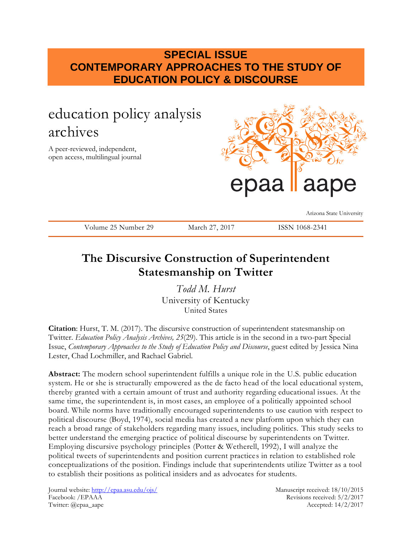## **SPECIAL ISSUE CONTEMPORARY APPROACHES TO THE STUDY OF EDUCATION POLICY & DISCOURSE**

# education policy analysis archives

A peer-reviewed, independent, open access, multilingual journal



Arizona State University

Volume 25 Number 29 March 27, 2017 ISSN 1068-2341

# **The Discursive Construction of Superintendent Statesmanship on Twitter**

*Todd M. Hurst* University of Kentucky United States

**Citation**: Hurst, T. M. (2017). The discursive construction of superintendent statesmanship on Twitter. *Education Policy Analysis Archives, 25*(29). This article is in the second in a two-part Special Issue, *Contemporary Approaches to the Study of Education Policy and Discourse*, guest edited by Jessica Nina Lester, Chad Lochmiller, and Rachael Gabriel.

**Abstract:** The modern school superintendent fulfills a unique role in the U.S. public education system. He or she is structurally empowered as the de facto head of the local educational system, thereby granted with a certain amount of trust and authority regarding educational issues. At the same time, the superintendent is, in most cases, an employee of a politically appointed school board. While norms have traditionally encouraged superintendents to use caution with respect to political discourse (Boyd, 1974), social media has created a new platform upon which they can reach a broad range of stakeholders regarding many issues, including politics. This study seeks to better understand the emerging practice of political discourse by superintendents on Twitter. Employing discursive psychology principles (Potter & Wetherell, 1992), I will analyze the political tweets of superintendents and position current practices in relation to established role conceptualizations of the position. Findings include that superintendents utilize Twitter as a tool to establish their positions as political insiders and as advocates for students.

Journal website:<http://epaa.asu.edu/ojs/> Manuscript received: 18/10/2015 Facebook: /EPAAA Revisions received: 5/2/2017 Twitter: @epaa\_aape Accepted: 14/2/2017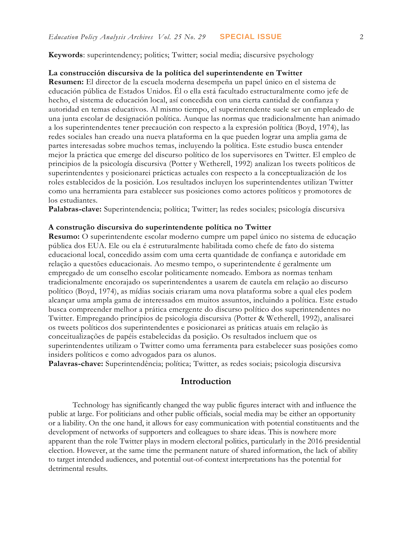**Keywords**: superintendency; politics; Twitter; social media; discursive psychology

#### **La construcción discursiva de la política del superintendente en Twitter**

**Resumen:** El director de la escuela moderna desempeña un papel único en el sistema de educación pública de Estados Unidos. Él o ella está facultado estructuralmente como jefe de hecho, el sistema de educación local, así concedida con una cierta cantidad de confianza y autoridad en temas educativos. Al mismo tiempo, el superintendente suele ser un empleado de una junta escolar de designación política. Aunque las normas que tradicionalmente han animado a los superintendentes tener precaución con respecto a la expresión política (Boyd, 1974), las redes sociales han creado una nueva plataforma en la que pueden lograr una amplia gama de partes interesadas sobre muchos temas, incluyendo la política. Este estudio busca entender mejor la práctica que emerge del discurso político de los supervisores en Twitter. El empleo de principios de la psicología discursiva (Potter y Wetherell, 1992) analizan los tweets políticos de superintendentes y posicionarei prácticas actuales con respecto a la conceptualización de los roles establecidos de la posición. Los resultados incluyen los superintendentes utilizan Twitter como una herramienta para establecer sus posiciones como actores políticos y promotores de los estudiantes.

**Palabras-clave:** Superintendencia; política; Twitter; las redes sociales; psicología discursiva

#### **A construção discursiva do superintendente política no Twitter**

**Resumo:** O superintendente escolar moderno cumpre um papel único no sistema de educação pública dos EUA. Ele ou ela é estruturalmente habilitada como chefe de fato do sistema educacional local, concedido assim com uma certa quantidade de confiança e autoridade em relação a questões educacionais. Ao mesmo tempo, o superintendente é geralmente um empregado de um conselho escolar politicamente nomeado. Embora as normas tenham tradicionalmente encorajado os superintendentes a usarem de cautela em relação ao discurso político (Boyd, 1974), as mídias sociais criaram uma nova plataforma sobre a qual eles podem alcançar uma ampla gama de interessados em muitos assuntos, incluindo a política. Este estudo busca compreender melhor a prática emergente do discurso político dos superintendentes no Twitter. Empregando princípios de psicologia discursiva (Potter & Wetherell, 1992), analisarei os tweets políticos dos superintendentes e posicionarei as práticas atuais em relação às conceitualizações de papéis estabelecidas da posição. Os resultados incluem que os superintendentes utilizam o Twitter como uma ferramenta para estabelecer suas posições como insiders políticos e como advogados para os alunos.

**Palavras-chave:** Superintendência; política; Twitter, as redes sociais; psicologia discursiva

### **Introduction**

Technology has significantly changed the way public figures interact with and influence the public at large. For politicians and other public officials, social media may be either an opportunity or a liability. On the one hand, it allows for easy communication with potential constituents and the development of networks of supporters and colleagues to share ideas. This is nowhere more apparent than the role Twitter plays in modern electoral politics, particularly in the 2016 presidential election. However, at the same time the permanent nature of shared information, the lack of ability to target intended audiences, and potential out-of-context interpretations has the potential for detrimental results.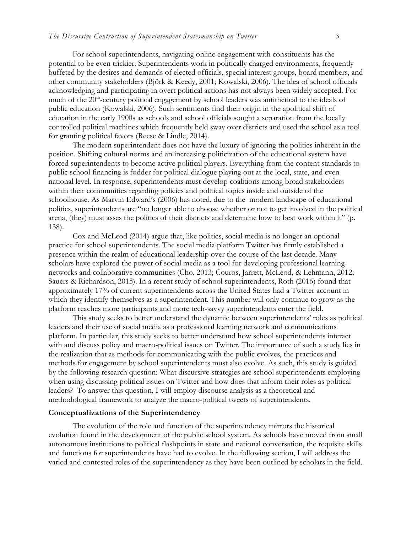For school superintendents, navigating online engagement with constituents has the potential to be even trickier. Superintendents work in politically charged environments, frequently buffeted by the desires and demands of elected officials, special interest groups, board members, and other community stakeholders (Björk & Keedy, 2001; Kowalski, 2006). The idea of school officials acknowledging and participating in overt political actions has not always been widely accepted. For much of the 20<sup>th</sup>-century political engagement by school leaders was antithetical to the ideals of public education (Kowalski, 2006). Such sentiments find their origin in the apolitical shift of education in the early 1900s as schools and school officials sought a separation from the locally controlled political machines which frequently held sway over districts and used the school as a tool for granting political favors (Reese & Lindle, 2014).

The modern superintendent does not have the luxury of ignoring the politics inherent in the position. Shifting cultural norms and an increasing politicization of the educational system have forced superintendents to become active political players. Everything from the content standards to public school financing is fodder for political dialogue playing out at the local, state, and even national level. In response, superintendents must develop coalitions among broad stakeholders within their communities regarding policies and political topics inside and outside of the schoolhouse. As Marvin Edward's (2006) has noted, due to the modern landscape of educational politics, superintendents are "no longer able to choose whether or not to get involved in the political arena, (they) must asses the politics of their districts and determine how to best work within it" (p. 138).

Cox and McLeod (2014) argue that, like politics, social media is no longer an optional practice for school superintendents. The social media platform Twitter has firmly established a presence within the realm of educational leadership over the course of the last decade. Many scholars have explored the power of social media as a tool for developing professional learning networks and collaborative communities (Cho, 2013; Couros, Jarrett, McLeod, & Lehmann, 2012; Sauers & Richardson, 2015). In a recent study of school superintendents, Roth (2016) found that approximately 17% of current superintendents across the United States had a Twitter account in which they identify themselves as a superintendent. This number will only continue to grow as the platform reaches more participants and more tech-savvy superintendents enter the field.

This study seeks to better understand the dynamic between superintendents' roles as political leaders and their use of social media as a professional learning network and communications platform. In particular, this study seeks to better understand how school superintendents interact with and discuss policy and macro-political issues on Twitter. The importance of such a study lies in the realization that as methods for communicating with the public evolves, the practices and methods for engagement by school superintendents must also evolve. As such, this study is guided by the following research question: What discursive strategies are school superintendents employing when using discussing political issues on Twitter and how does that inform their roles as political leaders? To answer this question, I will employ discourse analysis as a theoretical and methodological framework to analyze the macro-political tweets of superintendents.

#### **Conceptualizations of the Superintendency**

The evolution of the role and function of the superintendency mirrors the historical evolution found in the development of the public school system. As schools have moved from small autonomous institutions to political flashpoints in state and national conversation, the requisite skills and functions for superintendents have had to evolve. In the following section, I will address the varied and contested roles of the superintendency as they have been outlined by scholars in the field.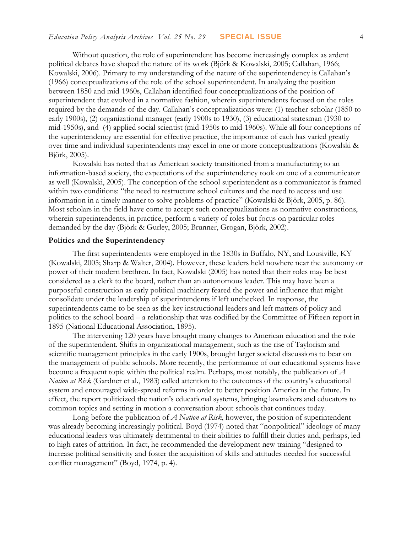Without question, the role of superintendent has become increasingly complex as ardent political debates have shaped the nature of its work (Björk & Kowalski, 2005; Callahan, 1966; Kowalski, 2006). Primary to my understanding of the nature of the superintendency is Callahan's (1966) conceptualizations of the role of the school superintendent. In analyzing the position between 1850 and mid-1960s, Callahan identified four conceptualizations of the position of superintendent that evolved in a normative fashion, wherein superintendents focused on the roles required by the demands of the day. Callahan's conceptualizations were: (1) teacher-scholar (1850 to early 1900s), (2) organizational manager (early 1900s to 1930), (3) educational statesman (1930 to mid-1950s), and (4) applied social scientist (mid-1950s to mid-1960s). While all four conceptions of the superintendency are essential for effective practice, the importance of each has varied greatly over time and individual superintendents may excel in one or more conceptualizations (Kowalski & Björk, 2005).

Kowalski has noted that as American society transitioned from a manufacturing to an information-based society, the expectations of the superintendency took on one of a communicator as well (Kowalski, 2005). The conception of the school superintendent as a communicator is framed within two conditions: "the need to restructure school cultures and the need to access and use information in a timely manner to solve problems of practice" (Kowalski & Björk, 2005, p. 86). Most scholars in the field have come to accept such conceptualizations as normative constructions, wherein superintendents, in practice, perform a variety of roles but focus on particular roles demanded by the day (Björk & Gurley, 2005; Brunner, Grogan, Björk, 2002).

#### **Politics and the Superintendency**

The first superintendents were employed in the 1830s in Buffalo, NY, and Lousiville, KY (Kowalski, 2005; Sharp & Walter, 2004). However, these leaders held nowhere near the autonomy or power of their modern brethren. In fact, Kowalski (2005) has noted that their roles may be best considered as a clerk to the board, rather than an autonomous leader. This may have been a purposeful construction as early political machinery feared the power and influence that might consolidate under the leadership of superintendents if left unchecked. In response, the superintendents came to be seen as the key instructional leaders and left matters of policy and politics to the school board – a relationship that was codified by the Committee of Fifteen report in 1895 (National Educational Association, 1895).

The intervening 120 years have brought many changes to American education and the role of the superintendent. Shifts in organizational management, such as the rise of Taylorism and scientific management principles in the early 1900s, brought larger societal discussions to bear on the management of public schools. More recently, the performance of our educational systems have become a frequent topic within the political realm. Perhaps, most notably, the publication of *A Nation at Risk* (Gardner et al., 1983) called attention to the outcomes of the country's educational system and encouraged wide-spread reforms in order to better position America in the future. In effect, the report politicized the nation's educational systems, bringing lawmakers and educators to common topics and setting in motion a conversation about schools that continues today.

Long before the publication of *A Nation at Risk*, however, the position of superintendent was already becoming increasingly political. Boyd (1974) noted that "nonpolitical" ideology of many educational leaders was ultimately detrimental to their abilities to fulfill their duties and, perhaps, led to high rates of attrition. In fact, he recommended the development new training "designed to increase political sensitivity and foster the acquisition of skills and attitudes needed for successful conflict management" (Boyd, 1974, p. 4).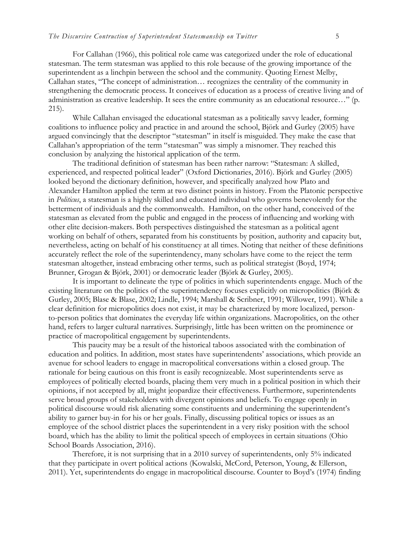For Callahan (1966), this political role came was categorized under the role of educational statesman. The term statesman was applied to this role because of the growing importance of the superintendent as a linchpin between the school and the community. Quoting Ernest Melby, Callahan states, "The concept of administration… recognizes the centrality of the community in strengthening the democratic process. It conceives of education as a process of creative living and of administration as creative leadership. It sees the entire community as an educational resource…" (p. 215).

While Callahan envisaged the educational statesman as a politically savvy leader, forming coalitions to influence policy and practice in and around the school, Björk and Gurley (2005) have argued convincingly that the descriptor "statesman" in itself is misguided. They make the case that Callahan's appropriation of the term "statesman" was simply a misnomer. They reached this conclusion by analyzing the historical application of the term.

The traditional definition of statesman has been rather narrow: "Statesman: A skilled, experienced, and respected political leader" (Oxford Dictionaries, 2016). Björk and Gurley (2005) looked beyond the dictionary definition, however, and specifically analyzed how Plato and Alexander Hamilton applied the term at two distinct points in history. From the Platonic perspective in *Politicus*, a statesman is a highly skilled and educated individual who governs benevolently for the betterment of individuals and the commonwealth. Hamilton, on the other hand, conceived of the statesman as elevated from the public and engaged in the process of influencing and working with other elite decision-makers. Both perspectives distinguished the statesman as a political agent working on behalf of others, separated from his constituents by position, authority and capacity but, nevertheless, acting on behalf of his constituency at all times. Noting that neither of these definitions accurately reflect the role of the superintendency, many scholars have come to the reject the term statesman altogether, instead embracing other terms, such as political strategist (Boyd, 1974; Brunner, Grogan & Björk, 2001) or democratic leader (Björk & Gurley, 2005).

It is important to delineate the type of politics in which superintendents engage. Much of the existing literature on the politics of the superintendency focuses explicitly on micropolitics (Björk & Gurley, 2005; Blase & Blase, 2002; Lindle, 1994; Marshall & Scribner, 1991; Willower, 1991). While a clear definition for micropolitics does not exist, it may be characterized by more localized, personto-person politics that dominates the everyday life within organizations. Macropolitics, on the other hand, refers to larger cultural narratives. Surprisingly, little has been written on the prominence or practice of macropolitical engagement by superintendents.

This paucity may be a result of the historical taboos associated with the combination of education and politics. In addition, most states have superintendents' associations, which provide an avenue for school leaders to engage in macropolitical conversations within a closed group. The rationale for being cautious on this front is easily recognizeable. Most superintendents serve as employees of politically elected boards, placing them very much in a political position in which their opinions, if not accepted by all, might jeopardize their effectiveness. Furthermore, superintendents serve broad groups of stakeholders with divergent opinions and beliefs. To engage openly in political discourse would risk alienating some constituents and undermining the superintendent's ability to garner buy-in for his or her goals. Finally, discussing political topics or issues as an employee of the school district places the superintendent in a very risky position with the school board, which has the ability to limit the political speech of employees in certain situations (Ohio School Boards Association, 2016).

Therefore, it is not surprising that in a 2010 survey of superintendents, only 5% indicated that they participate in overt political actions (Kowalski, McCord, Peterson, Young, & Ellerson, 2011). Yet, superintendents do engage in macropolitical discourse. Counter to Boyd's (1974) finding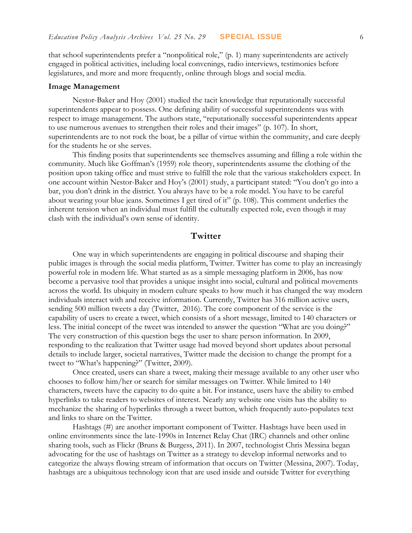that school superintendents prefer a "nonpolitical role," (p. 1) many superintendents are actively engaged in political activities, including local convenings, radio interviews, testimonies before legislatures, and more and more frequently, online through blogs and social media.

#### **Image Management**

Nestor-Baker and Hoy (2001) studied the tacit knowledge that reputationally successful superintendents appear to possess. One defining ability of successful superintendents was with respect to image management. The authors state, "reputationally successful superintendents appear to use numerous avenues to strengthen their roles and their images" (p. 107). In short, superintendents are to not rock the boat, be a pillar of virtue within the community, and care deeply for the students he or she serves.

This finding posits that superintendents see themselves assuming and filling a role within the community. Much like Goffman's (1959) role theory, superintendents assume the clothing of the position upon taking office and must strive to fulfill the role that the various stakeholders expect. In one account within Nestor-Baker and Hoy's (2001) study, a participant stated: "You don't go into a bar, you don't drink in the district. You always have to be a role model. You have to be careful about wearing your blue jeans. Sometimes I get tired of it" (p. 108). This comment underlies the inherent tension when an individual must fulfill the culturally expected role, even though it may clash with the individual's own sense of identity.

### **Twitter**

One way in which superintendents are engaging in political discourse and shaping their public images is through the social media platform, Twitter. Twitter has come to play an increasingly powerful role in modern life. What started as as a simple messaging platform in 2006, has now become a pervasive tool that provides a unique insight into social, cultural and political movements across the world. Its ubiquity in modern culture speaks to how much it has changed the way modern individuals interact with and receive information. Currently, Twitter has 316 million active users, sending 500 million tweets a day (Twitter, 2016). The core component of the service is the capability of users to create a tweet, which consists of a short message, limited to 140 characters or less. The initial concept of the tweet was intended to answer the question "What are you doing?" The very construction of this question begs the user to share person information. In 2009, responding to the realization that Twitter usage had moved beyond short updates about personal details to include larger, societal narratives, Twitter made the decision to change the prompt for a tweet to "What's happening?" (Twitter, 2009).

Once created, users can share a tweet, making their message available to any other user who chooses to follow him/her or search for similar messages on Twitter. While limited to 140 characters, tweets have the capacity to do quite a bit. For instance, users have the ability to embed hyperlinks to take readers to websites of interest. Nearly any website one visits has the ability to mechanize the sharing of hyperlinks through a tweet button, which frequently auto-populates text and links to share on the Twitter.

Hashtags (#) are another important component of Twitter. Hashtags have been used in online environments since the late-1990s in Internet Relay Chat (IRC) channels and other online sharing tools, such as Flickr (Bruns & Burgess, 2011). In 2007, technologist Chris Messina began advocating for the use of hashtags on Twitter as a strategy to develop informal networks and to categorize the always flowing stream of information that occurs on Twitter (Messina, 2007). Today, hashtags are a ubiquitous technology icon that are used inside and outside Twitter for everything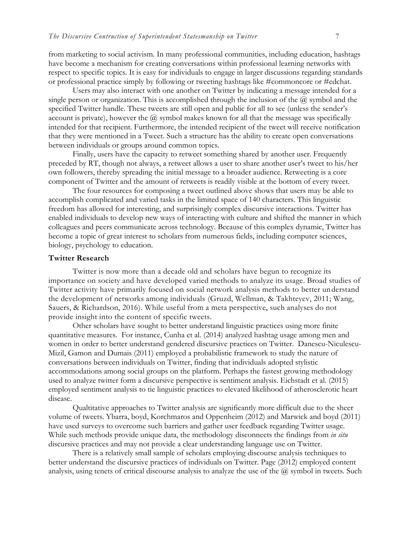from marketing to social activism. In many professional communities, including education, hashtags have become a mechanism for creating conversations within professional learning networks with respect to specific topics. It is easy for individuals to engage in larger discussions regarding standards or professional practice simply by following or tweeting hashtags like #commoncore or #edchat.

Users may also interact with one another on Twitter by indicating a message intended for a single person or organization. This is accomplished through the inclusion of the  $\omega$  symbol and the specified Twitter handle. These tweets are still open and public for all to see (unless the sender's account is private), however the  $\omega$  symbol makes known for all that the message was specifically intended for that recipient. Furthermore, the intended recipient of the tweet will receive notification that they were mentioned in a Tweet. Such a structure has the ability to create open conversations between individuals or groups around common topics.

Finally, users have the capacity to retweet something shared by another user. Frequently preceded by RT, though not always, a retweet allows a user to share another user's tweet to his/her own followers, thereby spreading the initial message to a broader audience. Retweeting is a core component of Twitter and the amount of retweets is readily visible at the bottom of every tweet.

The four resources for composing a tweet outlined above shows that users may be able to accomplish complicated and varied tasks in the limited space of 140 characters. This linguistic freedom has allowed for interesting, and surprisingly complex discursive interactions. Twitter has enabled individuals to develop new ways of interacting with culture and shifted the manner in which colleagues and peers communicate across technology. Because of this complex dynamic, Twitter has become a topic of great interest to scholars from numerous fields, including computer sciences, biology, psychology to education.

#### **Twitter Research**

Twitter is now more than a decade old and scholars have begun to recognize its importance on society and have developed varied methods to analyze its usage. Broad studies of Twitter activity have primarily focused on social network analysis methods to better understand the development of networks among individuals (Gruzd, Wellman, & Takhteyev, 2011; Wang, Sauers, & Richardson, 2016). While useful from a meta perspective, such analyses do not provide insight into the content of specific tweets.

Other scholars have sought to better understand linguistic practices using more finite quantitative measures. For instance, Cunha et al. (2014) analyzed hashtag usage among men and women in order to better understand gendered discursive practices on Twitter. Danescu-Niculescu-Mizil, Gamon and Dumais (2011) employed a probabilistic framework to study the nature of conversations between individuals on Twitter, finding that individuals adopted stylistic accommodations among social groups on the platform. Perhaps the fastest growing methodology used to analyze twitter form a discursive perspective is sentiment analysis. Eichstadt et al. (2015) employed sentiment analysis to tie linguistic practices to elevated likelihood of atherosclerotic heart disease.

Qualtitative approaches to Twitter analysis are significantly more difficult due to the sheer volume of tweets. Ybarra, boyd, Korchmaros and Oppenheim (2012) and Marwick and boyd (2011) have used surveys to overcome such barriers and gather user feedback regarding Twitter usage. While such methods provide unique data, the methodology disconnects the findings from *in situ* discursive practices and may not provide a clear understanding language use on Twitter.

There is a relatively small sample of scholars employing discourse analysis techniques to better understand the discursive practices of individuals on Twitter. Page (2012) employed content analysis, using tenets of critical discourse analysis to analyze the use of the  $\omega$  symbol in tweets. Such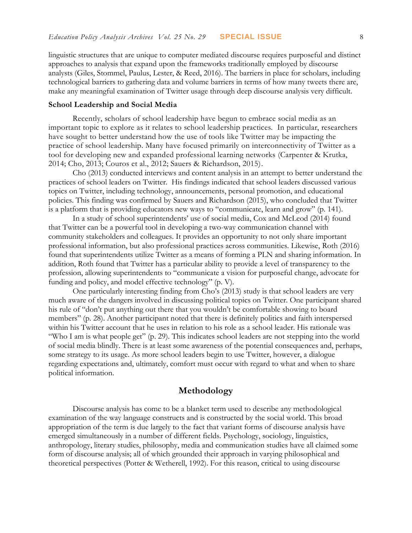linguistic structures that are unique to computer mediated discourse requires purposeful and distinct approaches to analysis that expand upon the frameworks traditionally employed by discourse analysts (Giles, Stommel, Paulus, Lester, & Reed, 2016). The barriers in place for scholars, including technological barriers to gathering data and volume barriers in terms of how many tweets there are, make any meaningful examination of Twitter usage through deep discourse analysis very difficult.

#### **School Leadership and Social Media**

Recently, scholars of school leadership have begun to embrace social media as an important topic to explore as it relates to school leadership practices. In particular, researchers have sought to better understand how the use of tools like Twitter may be impacting the practice of school leadership. Many have focused primarily on interconnectivity of Twitter as a tool for developing new and expanded professional learning networks (Carpenter & Krutka, 2014; Cho, 2013; Couros et al., 2012; Sauers & Richardson, 2015).

Cho (2013) conducted interviews and content analysis in an attempt to better understand the practices of school leaders on Twitter. His findings indicated that school leaders discussed various topics on Twitter, including technology, announcements, personal promotion, and educational policies. This finding was confirmed by Sauers and Richardson (2015), who concluded that Twitter is a platform that is providing educators new ways to "communicate, learn and grow" (p. 141).

In a study of school superintendents' use of social media, Cox and McLeod (2014) found that Twitter can be a powerful tool in developing a two-way communication channel with community stakeholders and colleagues. It provides an opportunity to not only share important professional information, but also professional practices across communities. Likewise, Roth (2016) found that superintendents utilize Twitter as a means of forming a PLN and sharing information. In addition, Roth found that Twitter has a particular ability to provide a level of transparency to the profession, allowing superintendents to "communicate a vision for purposeful change, advocate for funding and policy, and model effective technology" (p. V).

One particularly interesting finding from Cho's (2013) study is that school leaders are very much aware of the dangers involved in discussing political topics on Twitter. One participant shared his rule of "don't put anything out there that you wouldn't be comfortable showing to board members" (p. 28). Another participant noted that there is definitely politics and faith interspersed within his Twitter account that he uses in relation to his role as a school leader. His rationale was "Who I am is what people get" (p. 29). This indicates school leaders are not stepping into the world of social media blindly. There is at least some awareness of the potential consequences and, perhaps, some strategy to its usage. As more school leaders begin to use Twitter, however, a dialogue regarding expectations and, ultimately, comfort must occur with regard to what and when to share political information.

### **Methodology**

Discourse analysis has come to be a blanket term used to describe any methodological examination of the way language constructs and is constructed by the social world. This broad appropriation of the term is due largely to the fact that variant forms of discourse analysis have emerged simultaneously in a number of different fields. Psychology, sociology, linguistics, anthropology, literary studies, philosophy, media and communication studies have all claimed some form of discourse analysis; all of which grounded their approach in varying philosophical and theoretical perspectives (Potter & Wetherell, 1992). For this reason, critical to using discourse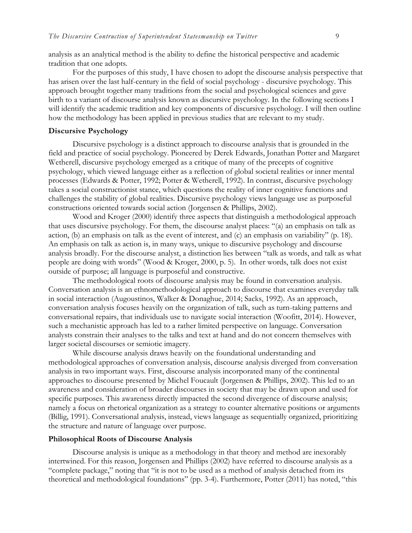analysis as an analytical method is the ability to define the historical perspective and academic tradition that one adopts.

For the purposes of this study, I have chosen to adopt the discourse analysis perspective that has arisen over the last half-century in the field of social psychology - discursive psychology. This approach brought together many traditions from the social and psychological sciences and gave birth to a variant of discourse analysis known as discursive psychology. In the following sections I will identify the academic tradition and key components of discursive psychology. I will then outline how the methodology has been applied in previous studies that are relevant to my study.

#### **Discursive Psychology**

Discursive psychology is a distinct approach to discourse analysis that is grounded in the field and practice of social psychology. Pioneered by Derek Edwards, Jonathan Potter and Margaret Wetherell, discursive psychology emerged as a critique of many of the precepts of cognitive psychology, which viewed language either as a reflection of global societal realities or inner mental processes (Edwards & Potter, 1992; Potter & Wetherell, 1992). In contrast, discursive psychology takes a social constructionist stance, which questions the reality of inner cognitive functions and challenges the stability of global realities. Discursive psychology views language use as purposeful constructions oriented towards social action (Jorgensen & Phillips, 2002).

Wood and Kroger (2000) identify three aspects that distinguish a methodological approach that uses discursive psychology. For them, the discourse analyst places: "(a) an emphasis on talk as action, (b) an emphasis on talk as the event of interest, and (c) an emphasis on variability" (p. 18). An emphasis on talk as action is, in many ways, unique to discursive psychology and discourse analysis broadly. For the discourse analyst, a distinction lies between "talk as words, and talk as what people are doing with words" (Wood & Kroger, 2000, p. 5). In other words, talk does not exist outside of purpose; all language is purposeful and constructive.

The methodological roots of discourse analysis may be found in conversation analysis. Conversation analysis is an ethnomethodological approach to discourse that examines everyday talk in social interaction (Augoustinos, Walker & Donaghue, 2014; Sacks, 1992). As an approach, conversation analysis focuses heavily on the organization of talk, such as turn-taking patterns and conversational repairs, that individuals use to navigate social interaction (Woofitt, 2014). However, such a mechanistic approach has led to a rather limited perspective on language. Conversation analysts constrain their analyses to the talks and text at hand and do not concern themselves with larger societal discourses or semiotic imagery.

While discourse analysis draws heavily on the foundational understanding and methodological approaches of conversation analysis, discourse analysis diverged from conversation analysis in two important ways. First, discourse analysis incorporated many of the continental approaches to discourse presented by Michel Foucault (Jorgensen & Phillips, 2002). This led to an awareness and consideration of broader discourses in society that may be drawn upon and used for specific purposes. This awareness directly impacted the second divergence of discourse analysis; namely a focus on rhetorical organization as a strategy to counter alternative positions or arguments (Billig, 1991). Conversational analysis, instead, views language as sequentially organized, prioritizing the structure and nature of language over purpose.

#### **Philosophical Roots of Discourse Analysis**

Discourse analysis is unique as a methodology in that theory and method are inexorably intertwined. For this reason, Jorgensen and Phillips (2002) have referred to discourse analysis as a "complete package," noting that "it is not to be used as a method of analysis detached from its theoretical and methodological foundations" (pp. 3-4). Furthermore, Potter (2011) has noted, "this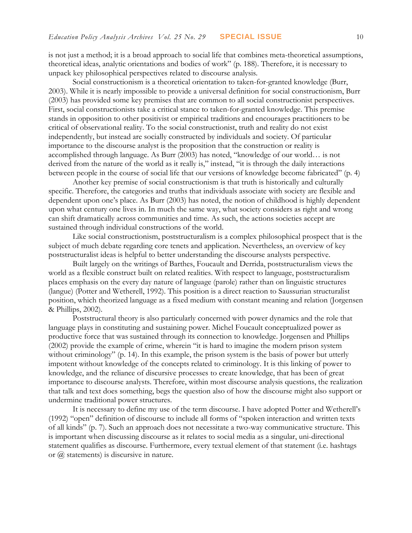is not just a method; it is a broad approach to social life that combines meta-theoretical assumptions, theoretical ideas, analytic orientations and bodies of work" (p. 188). Therefore, it is necessary to unpack key philosophical perspectives related to discourse analysis.

Social constructionism is a theoretical orientation to taken-for-granted knowledge (Burr, 2003). While it is nearly impossible to provide a universal definition for social constructionism, Burr (2003) has provided some key premises that are common to all social constructionist perspectives. First, social constructionists take a critical stance to taken-for-granted knowledge. This premise stands in opposition to other positivist or empirical traditions and encourages practitioners to be critical of observational reality. To the social constructionist, truth and reality do not exist independently, but instead are socially constructed by individuals and society. Of particular importance to the discourse analyst is the proposition that the construction or reality is accomplished through language. As Burr (2003) has noted, "knowledge of our world… is not derived from the nature of the world as it really is," instead, "it is through the daily interactions between people in the course of social life that our versions of knowledge become fabricated" (p. 4)

Another key premise of social constructionism is that truth is historically and culturally specific. Therefore, the categories and truths that individuals associate with society are flexible and dependent upon one's place. As Burr (2003) has noted, the notion of childhood is highly dependent upon what century one lives in. In much the same way, what society considers as right and wrong can shift dramatically across communities and time. As such, the actions societies accept are sustained through individual constructions of the world.

Like social constructionism, poststructuralism is a complex philosophical prospect that is the subject of much debate regarding core tenets and application. Nevertheless, an overview of key poststructuralist ideas is helpful to better understanding the discourse analysts perspective.

Built largely on the writings of Barthes, Foucault and Derrida, poststructuralism views the world as a flexible construct built on related realities. With respect to language, poststructuralism places emphasis on the every day nature of language (parole) rather than on linguistic structures (langue) (Potter and Wetherell, 1992). This position is a direct reaction to Saussurian structuralist position, which theorized language as a fixed medium with constant meaning and relation (Jorgensen & Phillips, 2002).

Poststructural theory is also particularly concerned with power dynamics and the role that language plays in constituting and sustaining power. Michel Foucault conceptualized power as productive force that was sustained through its connection to knowledge. Jorgensen and Phillips (2002) provide the example of crime, wherein "it is hard to imagine the modern prison system without criminology" (p. 14). In this example, the prison system is the basis of power but utterly impotent without knowledge of the concepts related to criminology. It is this linking of power to knowledge, and the reliance of discursive processes to create knowledge, that has been of great importance to discourse analysts. Therefore, within most discourse analysis questions, the realization that talk and text does something, begs the question also of how the discourse might also support or undermine traditional power structures.

It is necessary to define my use of the term discourse. I have adopted Potter and Wetherell's (1992) "open" definition of discourse to include all forms of "spoken interaction and written texts of all kinds" (p. 7). Such an approach does not necessitate a two-way communicative structure. This is important when discussing discourse as it relates to social media as a singular, uni-directional statement qualifies as discourse. Furthermore, every textual element of that statement (i.e. hashtags or  $\omega$  statements) is discursive in nature.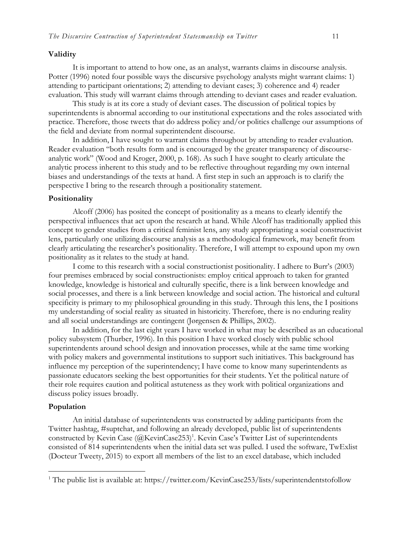#### **Validity**

It is important to attend to how one, as an analyst, warrants claims in discourse analysis. Potter (1996) noted four possible ways the discursive psychology analysts might warrant claims: 1) attending to participant orientations; 2) attending to deviant cases; 3) coherence and 4) reader evaluation. This study will warrant claims through attending to deviant cases and reader evaluation.

This study is at its core a study of deviant cases. The discussion of political topics by superintendents is abnormal according to our institutional expectations and the roles associated with practice. Therefore, those tweets that do address policy and/or politics challenge our assumptions of the field and deviate from normal superintendent discourse.

In addition, I have sought to warrant claims throughout by attending to reader evaluation. Reader evaluation "both results form and is encouraged by the greater transparency of discourseanalytic work" (Wood and Kroger, 2000, p. 168). As such I have sought to clearly articulate the analytic process inherent to this study and to be reflective throughout regarding my own internal biases and understandings of the texts at hand. A first step in such an approach is to clarify the perspective I bring to the research through a positionality statement.

#### **Positionality**

Alcoff (2006) has posited the concept of positionality as a means to clearly identify the perspectival influences that act upon the research at hand. While Alcoff has traditionally applied this concept to gender studies from a critical feminist lens, any study appropriating a social constructivist lens, particularly one utilizing discourse analysis as a methodological framework, may benefit from clearly articulating the researcher's positionality. Therefore, I will attempt to expound upon my own positionality as it relates to the study at hand.

I come to this research with a social constructionist positionality. I adhere to Burr's (2003) four premises embraced by social constructionists: employ critical approach to taken for granted knowledge, knowledge is historical and culturally specific, there is a link between knowledge and social processes, and there is a link between knowledge and social action. The historical and cultural specificity is primary to my philosophical grounding in this study. Through this lens, the I positions my understanding of social reality as situated in historicity. Therefore, there is no enduring reality and all social understandings are contingent (Jørgensen & Phillips, 2002).

In addition, for the last eight years I have worked in what may be described as an educational policy subsystem (Thurber, 1996). In this position I have worked closely with public school superintendents around school design and innovation processes, while at the same time working with policy makers and governmental institutions to support such initiatives. This background has influence my perception of the superintendency; I have come to know many superintendents as passionate educators seeking the best opportunities for their students. Yet the political nature of their role requires caution and political astuteness as they work with political organizations and discuss policy issues broadly.

#### **Population**

 $\overline{a}$ 

An initial database of superintendents was constructed by adding participants from the Twitter hashtag, #suptchat, and following an already developed, public list of superintendents constructed by Kevin Case (@KevinCase253)<sup>1</sup>. Kevin Case's Twitter List of superintendents consisted of 814 superintendents when the initial data set was pulled. I used the software, TwExlist (Docteur Tweety, 2015) to export all members of the list to an excel database, which included

<sup>&</sup>lt;sup>1</sup> The public list is available at: https://twitter.com/KevinCase253/lists/superintendentstofollow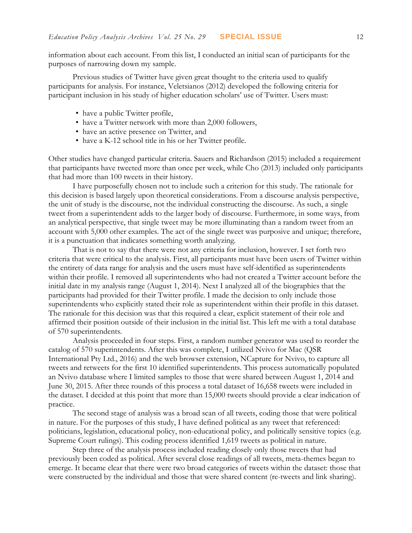information about each account. From this list, I conducted an initial scan of participants for the purposes of narrowing down my sample.

Previous studies of Twitter have given great thought to the criteria used to qualify participants for analysis. For instance, Veletsianos (2012) developed the following criteria for participant inclusion in his study of higher education scholars' use of Twitter. Users must:

- have a public Twitter profile,
- have a Twitter network with more than 2,000 followers,
- have an active presence on Twitter, and
- have a K-12 school title in his or her Twitter profile.

Other studies have changed particular criteria. Sauers and Richardson (2015) included a requirement that participants have tweeted more than once per week, while Cho (2013) included only participants that had more than 100 tweets in their history.

I have purposefully chosen not to include such a criterion for this study. The rationale for this decision is based largely upon theoretical considerations. From a discourse analysis perspective, the unit of study is the discourse, not the individual constructing the discourse. As such, a single tweet from a superintendent adds to the larger body of discourse. Furthermore, in some ways, from an analytical perspective, that single tweet may be more illuminating than a random tweet from an account with 5,000 other examples. The act of the single tweet was purposive and unique; therefore, it is a punctuation that indicates something worth analyzing.

That is not to say that there were not any criteria for inclusion, however. I set forth two criteria that were critical to the analysis. First, all participants must have been users of Twitter within the entirety of data range for analysis and the users must have self-identified as superintendents within their profile. I removed all superintendents who had not created a Twitter account before the initial date in my analysis range (August 1, 2014). Next I analyzed all of the biographies that the participants had provided for their Twitter profile. I made the decision to only include those superintendents who explicitly stated their role as superintendent within their profile in this dataset. The rationale for this decision was that this required a clear, explicit statement of their role and affirmed their position outside of their inclusion in the initial list. This left me with a total database of 570 superintendents.

Analysis proceeded in four steps. First, a random number generator was used to reorder the catalog of 570 superintendents. After this was complete, I utilized Nvivo for Mac (QSR International Pty Ltd., 2016) and the web browser extension, NCapture for Nvivo, to capture all tweets and retweets for the first 10 identified superintendents. This process automatically populated an Nvivo database where I limited samples to those that were shared between August 1, 2014 and June 30, 2015. After three rounds of this process a total dataset of 16,658 tweets were included in the dataset. I decided at this point that more than 15,000 tweets should provide a clear indication of practice.

The second stage of analysis was a broad scan of all tweets, coding those that were political in nature. For the purposes of this study, I have defined political as any tweet that referenced: politicians, legislation, educational policy, non-educational policy, and politically sensitive topics (e.g. Supreme Court rulings). This coding process identified 1,619 tweets as political in nature.

Step three of the analysis process included reading closely only those tweets that had previously been coded as political. After several close readings of all tweets, meta-themes began to emerge. It became clear that there were two broad categories of tweets within the dataset: those that were constructed by the individual and those that were shared content (re-tweets and link sharing).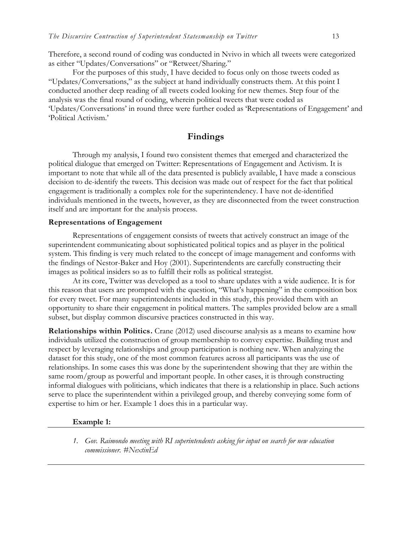Therefore, a second round of coding was conducted in Nvivo in which all tweets were categorized as either "Updates/Conversations" or "Retweet/Sharing."

For the purposes of this study, I have decided to focus only on those tweets coded as "Updates/Conversations," as the subject at hand individually constructs them. At this point I conducted another deep reading of all tweets coded looking for new themes. Step four of the analysis was the final round of coding, wherein political tweets that were coded as 'Updates/Conversations' in round three were further coded as 'Representations of Engagement' and 'Political Activism.'

### **Findings**

Through my analysis, I found two consistent themes that emerged and characterized the political dialogue that emerged on Twitter: Representations of Engagement and Activism. It is important to note that while all of the data presented is publicly available, I have made a conscious decision to de-identify the tweets. This decision was made out of respect for the fact that political engagement is traditionally a complex role for the superintendency. I have not de-identified individuals mentioned in the tweets, however, as they are disconnected from the tweet construction itself and are important for the analysis process.

### **Representations of Engagement**

Representations of engagement consists of tweets that actively construct an image of the superintendent communicating about sophisticated political topics and as player in the political system. This finding is very much related to the concept of image management and conforms with the findings of Nestor-Baker and Hoy (2001). Superintendents are carefully constructing their images as political insiders so as to fulfill their rolls as political strategist.

At its core, Twitter was developed as a tool to share updates with a wide audience. It is for this reason that users are prompted with the question, "What's happening" in the composition box for every tweet. For many superintendents included in this study, this provided them with an opportunity to share their engagement in political matters. The samples provided below are a small subset, but display common discursive practices constructed in this way.

**Relationships within Politics.** Crane (2012) used discourse analysis as a means to examine how individuals utilized the construction of group membership to convey expertise. Building trust and respect by leveraging relationships and group participation is nothing new. When analyzing the dataset for this study, one of the most common features across all participants was the use of relationships. In some cases this was done by the superintendent showing that they are within the same room/group as powerful and important people. In other cases, it is through constructing informal dialogues with politicians, which indicates that there is a relationship in place. Such actions serve to place the superintendent within a privileged group, and thereby conveying some form of expertise to him or her. Example 1 does this in a particular way.

#### **Example 1:**

*1. Gov. Raimondo meeting with RI superintendents asking for input on search for new education commissioner. #NextinEd*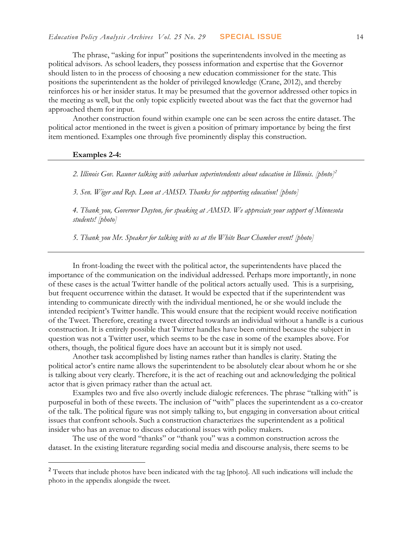The phrase, "asking for input" positions the superintendents involved in the meeting as political advisors. As school leaders, they possess information and expertise that the Governor should listen to in the process of choosing a new education commissioner for the state. This positions the superintendent as the holder of privileged knowledge (Crane, 2012), and thereby reinforces his or her insider status. It may be presumed that the governor addressed other topics in the meeting as well, but the only topic explicitly tweeted about was the fact that the governor had approached them for input.

Another construction found within example one can be seen across the entire dataset. The political actor mentioned in the tweet is given a position of primary importance by being the first item mentioned. Examples one through five prominently display this construction.

#### **Examples 2-4:**

 $\overline{a}$ 

*2. Illinois Gov. Rauner talking with suburban superintendents about education in Illinois. [photo]<sup>2</sup>*

*3. Sen. Wiger and Rep. Loon at AMSD. Thanks for supporting education! [photo]*

*4. Thank you, Governor Dayton, for speaking at AMSD. We appreciate your support of Minnesota students! [photo]*

*5. Thank you Mr. Speaker for talking with us at the White Bear Chamber event! [photo]*

In front-loading the tweet with the political actor, the superintendents have placed the importance of the communication on the individual addressed. Perhaps more importantly, in none of these cases is the actual Twitter handle of the political actors actually used. This is a surprising, but frequent occurrence within the dataset. It would be expected that if the superintendent was intending to communicate directly with the individual mentioned, he or she would include the intended recipient's Twitter handle. This would ensure that the recipient would receive notification of the Tweet. Therefore, creating a tweet directed towards an individual without a handle is a curious construction. It is entirely possible that Twitter handles have been omitted because the subject in question was not a Twitter user, which seems to be the case in some of the examples above. For others, though, the political figure does have an account but it is simply not used.

Another task accomplished by listing names rather than handles is clarity. Stating the political actor's entire name allows the superintendent to be absolutely clear about whom he or she is talking about very clearly. Therefore, it is the act of reaching out and acknowledging the political actor that is given primacy rather than the actual act.

Examples two and five also overtly include dialogic references. The phrase "talking with" is purposeful in both of these tweets. The inclusion of "with" places the superintendent as a co-creator of the talk. The political figure was not simply talking to, but engaging in conversation about critical issues that confront schools. Such a construction characterizes the superintendent as a political insider who has an avenue to discuss educational issues with policy makers.

The use of the word "thanks" or "thank you" was a common construction across the dataset. In the existing literature regarding social media and discourse analysis, there seems to be

<sup>&</sup>lt;sup>2</sup> Tweets that include photos have been indicated with the tag [photo]. All such indications will include the photo in the appendix alongside the tweet.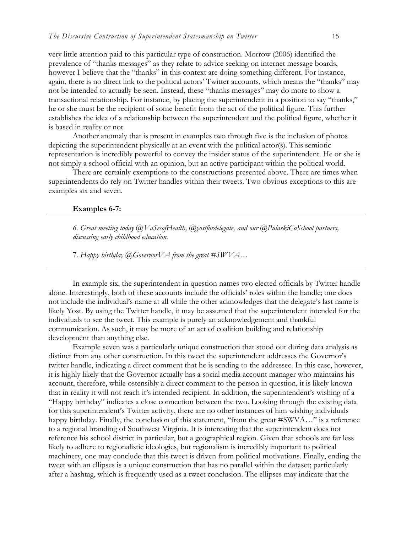very little attention paid to this particular type of construction. Morrow (2006) identified the prevalence of "thanks messages" as they relate to advice seeking on internet message boards, however I believe that the "thanks" in this context are doing something different. For instance, again, there is no direct link to the political actors' Twitter accounts, which means the "thanks" may not be intended to actually be seen. Instead, these "thanks messages" may do more to show a transactional relationship. For instance, by placing the superintendent in a position to say "thanks," he or she must be the recipient of some benefit from the act of the political figure. This further establishes the idea of a relationship between the superintendent and the political figure, whether it is based in reality or not.

Another anomaly that is present in examples two through five is the inclusion of photos depicting the superintendent physically at an event with the political actor(s). This semiotic representation is incredibly powerful to convey the insider status of the superintendent. He or she is not simply a school official with an opinion, but an active participant within the political world.

There are certainly exemptions to the constructions presented above. There are times when superintendents do rely on Twitter handles within their tweets. Two obvious exceptions to this are examples six and seven.

#### **Examples 6-7:**

*6. Great meeting today @VaSecofHealth, @yostfordelegate, and our @PulaskiCoSchool partners, discussing early childhood education.*

7. *Happy birthday @GovernorVA from the great #SWVA…*

In example six, the superintendent in question names two elected officials by Twitter handle alone. Interestingly, both of these accounts include the officials' roles within the handle; one does not include the individual's name at all while the other acknowledges that the delegate's last name is likely Yost. By using the Twitter handle, it may be assumed that the superintendent intended for the individuals to see the tweet. This example is purely an acknowledgement and thankful communication. As such, it may be more of an act of coalition building and relationship development than anything else.

Example seven was a particularly unique construction that stood out during data analysis as distinct from any other construction. In this tweet the superintendent addresses the Governor's twitter handle, indicating a direct comment that he is sending to the addressee. In this case, however, it is highly likely that the Governor actually has a social media account manager who maintains his account, therefore, while ostensibly a direct comment to the person in question, it is likely known that in reality it will not reach it's intended recipient. In addition, the superintendent's wishing of a "Happy birthday" indicates a close connection between the two. Looking through the existing data for this superintendent's Twitter activity, there are no other instances of him wishing individuals happy birthday. Finally, the conclusion of this statement, "from the great #SWVA..." is a reference to a regional branding of Southwest Virginia. It is interesting that the superintendent does not reference his school district in particular, but a geographical region. Given that schools are far less likely to adhere to regionalistic ideologies, but regionalism is incredibly important to political machinery, one may conclude that this tweet is driven from political motivations. Finally, ending the tweet with an ellipses is a unique construction that has no parallel within the dataset; particularly after a hashtag, which is frequently used as a tweet conclusion. The ellipses may indicate that the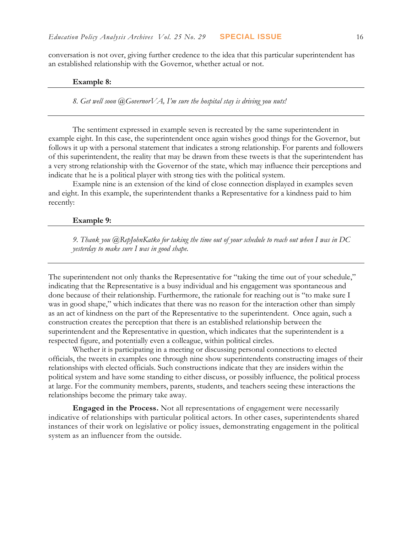conversation is not over, giving further credence to the idea that this particular superintendent has an established relationship with the Governor, whether actual or not.

#### **Example 8:**

*8. Get well soon @GovernorVA, I'm sure the hospital stay is driving you nuts!*

The sentiment expressed in example seven is recreated by the same superintendent in example eight. In this case, the superintendent once again wishes good things for the Governor, but follows it up with a personal statement that indicates a strong relationship. For parents and followers of this superintendent, the reality that may be drawn from these tweets is that the superintendent has a very strong relationship with the Governor of the state, which may influence their perceptions and indicate that he is a political player with strong ties with the political system.

Example nine is an extension of the kind of close connection displayed in examples seven and eight. In this example, the superintendent thanks a Representative for a kindness paid to him recently:

#### **Example 9:**

*9. Thank you @RepJohnKatko for taking the time out of your schedule to reach out when I was in DC yesterday to make sure I was in good shape.* 

The superintendent not only thanks the Representative for "taking the time out of your schedule," indicating that the Representative is a busy individual and his engagement was spontaneous and done because of their relationship. Furthermore, the rationale for reaching out is "to make sure I was in good shape," which indicates that there was no reason for the interaction other than simply as an act of kindness on the part of the Representative to the superintendent. Once again, such a construction creates the perception that there is an established relationship between the superintendent and the Representative in question, which indicates that the superintendent is a respected figure, and potentially even a colleague, within political circles.

Whether it is participating in a meeting or discussing personal connections to elected officials, the tweets in examples one through nine show superintendents constructing images of their relationships with elected officials. Such constructions indicate that they are insiders within the political system and have some standing to either discuss, or possibly influence, the political process at large. For the community members, parents, students, and teachers seeing these interactions the relationships become the primary take away.

**Engaged in the Process.** Not all representations of engagement were necessarily indicative of relationships with particular political actors. In other cases, superintendents shared instances of their work on legislative or policy issues, demonstrating engagement in the political system as an influencer from the outside.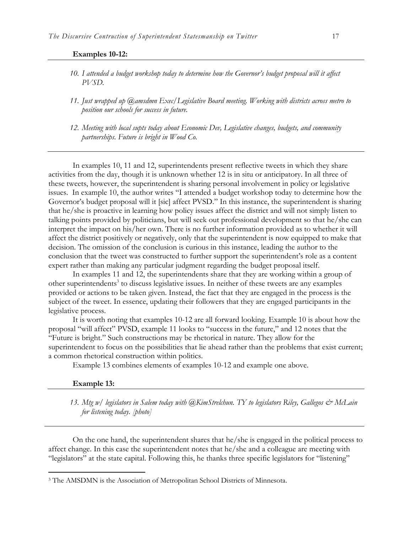#### **Examples 10-12:**

- *10. I attended a budget workshop today to determine how the Governor's budget proposal will it affect PVSD.*
- *11. Just wrapped up @amsdmn Exec/Legislative Board meeting. Working with districts across metro to position our schools for success in future.*
- *12. Meeting with local supts today about Economic Dev, Legislative changes, budgets, and community partnerships. Future is bright in Wood Co.*

In examples 10, 11 and 12, superintendents present reflective tweets in which they share activities from the day, though it is unknown whether 12 is in situ or anticipatory. In all three of these tweets, however, the superintendent is sharing personal involvement in policy or legislative issues. In example 10, the author writes "I attended a budget workshop today to determine how the Governor's budget proposal will it [sic] affect PVSD." In this instance, the superintendent is sharing that he/she is proactive in learning how policy issues affect the district and will not simply listen to talking points provided by politicians, but will seek out professional development so that he/she can interpret the impact on his/her own. There is no further information provided as to whether it will affect the district positively or negatively, only that the superintendent is now equipped to make that decision. The omission of the conclusion is curious in this instance, leading the author to the conclusion that the tweet was constructed to further support the superintendent's role as a content expert rather than making any particular judgment regarding the budget proposal itself.

In examples 11 and 12, the superintendents share that they are working within a group of other superintendents<sup>3</sup> to discuss legislative issues. In neither of these tweets are any examples provided or actions to be taken given. Instead, the fact that they are engaged in the process is the subject of the tweet. In essence, updating their followers that they are engaged participants in the legislative process.

It is worth noting that examples 10-12 are all forward looking. Example 10 is about how the proposal "will affect" PVSD, example 11 looks to "success in the future," and 12 notes that the "Future is bright." Such constructions may be rhetorical in nature. They allow for the superintendent to focus on the possibilities that lie ahead rather than the problems that exist current; a common rhetorical construction within politics.

Example 13 combines elements of examples 10-12 and example one above.

#### **Example 13:**

 $\overline{a}$ 

*13. Mtg w/ legislators in Salem today with @KimStrelchun. TY to legislators Riley, Gallegos & McLain for listening today. [photo]*

On the one hand, the superintendent shares that he/she is engaged in the political process to affect change. In this case the superintendent notes that he/she and a colleague are meeting with "legislators" at the state capital. Following this, he thanks three specific legislators for "listening"

<sup>3</sup> The AMSDMN is the Association of Metropolitan School Districts of Minnesota.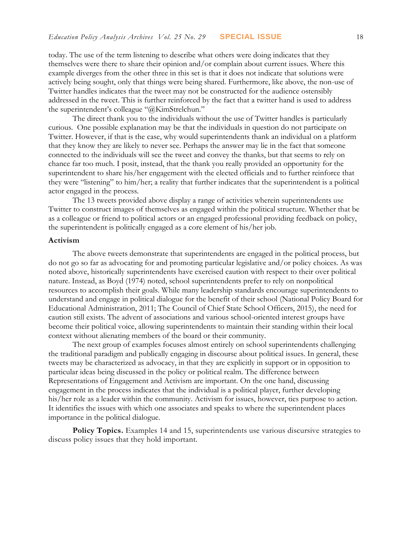today. The use of the term listening to describe what others were doing indicates that they themselves were there to share their opinion and/or complain about current issues. Where this example diverges from the other three in this set is that it does not indicate that solutions were actively being sought, only that things were being shared. Furthermore, like above, the non-use of Twitter handles indicates that the tweet may not be constructed for the audience ostensibly addressed in the tweet. This is further reinforced by the fact that a twitter hand is used to address the superintendent's colleague "@KimStrelchun."

The direct thank you to the individuals without the use of Twitter handles is particularly curious. One possible explanation may be that the individuals in question do not participate on Twitter. However, if that is the case, why would superintendents thank an individual on a platform that they know they are likely to never see. Perhaps the answer may lie in the fact that someone connected to the individuals will see the tweet and convey the thanks, but that seems to rely on chance far too much. I posit, instead, that the thank you really provided an opportunity for the superintendent to share his/her engagement with the elected officials and to further reinforce that they were "listening" to him/her; a reality that further indicates that the superintendent is a political actor engaged in the process.

The 13 tweets provided above display a range of activities wherein superintendents use Twitter to construct images of themselves as engaged within the political structure. Whether that be as a colleague or friend to political actors or an engaged professional providing feedback on policy, the superintendent is politically engaged as a core element of his/her job.

#### **Activism**

The above tweets demonstrate that superintendents are engaged in the political process, but do not go so far as advocating for and promoting particular legislative and/or policy choices. As was noted above, historically superintendents have exercised caution with respect to their over political nature. Instead, as Boyd (1974) noted, school superintendents prefer to rely on nonpolitical resources to accomplish their goals. While many leadership standards encourage superintendents to understand and engage in political dialogue for the benefit of their school (National Policy Board for Educational Administration, 2011; The Council of Chief State School Officers, 2015), the need for caution still exists. The advent of associations and various school-oriented interest groups have become their political voice, allowing superintendents to maintain their standing within their local context without alienating members of the board or their community.

The next group of examples focuses almost entirely on school superintendents challenging the traditional paradigm and publically engaging in discourse about political issues. In general, these tweets may be characterized as advocacy, in that they are explicitly in support or in opposition to particular ideas being discussed in the policy or political realm. The difference between Representations of Engagement and Activism are important. On the one hand, discussing engagement in the process indicates that the individual is a political player, further developing his/her role as a leader within the community. Activism for issues, however, ties purpose to action. It identifies the issues with which one associates and speaks to where the superintendent places importance in the political dialogue.

Policy Topics. Examples 14 and 15, superintendents use various discursive strategies to discuss policy issues that they hold important.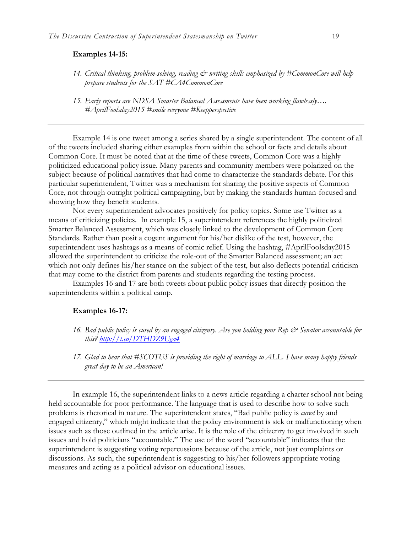#### **Examples 14-15:**

- *14. Critical thinking, problem-solving, reading & writing skills emphasized by #CommonCore will help prepare students for the SAT #CA4CommonCore*
- *15. Early reports are NDSA Smarter Balanced Assessments have been working flawlessly…. #AprilFoolsday2015 #smile everyone #Keepperspective*

Example 14 is one tweet among a series shared by a single superintendent. The content of all of the tweets included sharing either examples from within the school or facts and details about Common Core. It must be noted that at the time of these tweets, Common Core was a highly politicized educational policy issue. Many parents and community members were polarized on the subject because of political narratives that had come to characterize the standards debate. For this particular superintendent, Twitter was a mechanism for sharing the positive aspects of Common Core, not through outright political campaigning, but by making the standards human-focused and showing how they benefit students.

Not every superintendent advocates positively for policy topics. Some use Twitter as a means of criticizing policies. In example 15, a superintendent references the highly politicized Smarter Balanced Assessment, which was closely linked to the development of Common Core Standards. Rather than posit a cogent argument for his/her dislike of the test, however, the superintendent uses hashtags as a means of comic relief. Using the hashtag, #AprilFoolsday2015 allowed the superintendent to criticize the role-out of the Smarter Balanced assessment; an act which not only defines his/her stance on the subject of the test, but also deflects potential criticism that may come to the district from parents and students regarding the testing process.

Examples 16 and 17 are both tweets about public policy issues that directly position the superintendents within a political camp.

#### **Examples 16-17:**

- 16. Bad public policy is cured by an engaged citizenry. Are you holding your Rep & Senator accountable for *this?<http://t.co/DTHDZ9Uga4>*
- *17. Glad to hear that #SCOTUS is providing the right of marriage to ALL. I have many happy friends great day to be an American!*

In example 16, the superintendent links to a news article regarding a charter school not being held accountable for poor performance. The language that is used to describe how to solve such problems is rhetorical in nature. The superintendent states, "Bad public policy is *cured* by and engaged citizenry," which might indicate that the policy environment is sick or malfunctioning when issues such as those outlined in the article arise. It is the role of the citizenry to get involved in such issues and hold politicians "accountable." The use of the word "accountable" indicates that the superintendent is suggesting voting repercussions because of the article, not just complaints or discussions. As such, the superintendent is suggesting to his/her followers appropriate voting measures and acting as a political advisor on educational issues.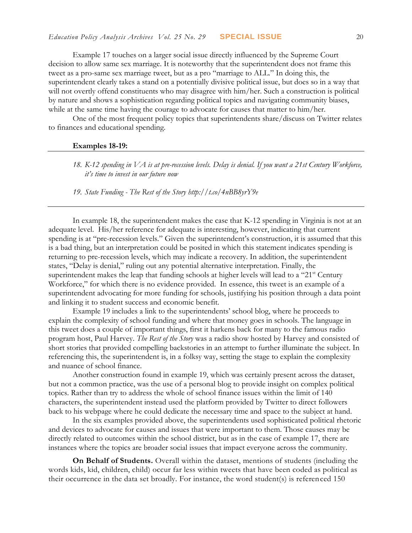Example 17 touches on a larger social issue directly influenced by the Supreme Court decision to allow same sex marriage. It is noteworthy that the superintendent does not frame this tweet as a pro-same sex marriage tweet, but as a pro "marriage to ALL." In doing this, the superintendent clearly takes a stand on a potentially divisive political issue, but does so in a way that will not overtly offend constituents who may disagree with him/her. Such a construction is political by nature and shows a sophistication regarding political topics and navigating community biases, while at the same time having the courage to advocate for causes that matter to him/her.

One of the most frequent policy topics that superintendents share/discuss on Twitter relates to finances and educational spending.

#### **Examples 18-19:**

*18. K-12 spending in VA is at pre-recession levels. Delay is denial. If you want a 21st Century Workforce, it's time to invest in our future now*

*19. State Funding - The Rest of the Story http://t.co/4nBB8yrY9e*

In example 18, the superintendent makes the case that K-12 spending in Virginia is not at an adequate level. His/her reference for adequate is interesting, however, indicating that current spending is at "pre-recession levels." Given the superintendent's construction, it is assumed that this is a bad thing, but an interpretation could be posited in which this statement indicates spending is returning to pre-recession levels, which may indicate a recovery. In addition, the superintendent states, "Delay is denial," ruling out any potential alternative interpretation. Finally, the superintendent makes the leap that funding schools at higher levels will lead to a "21<sup>st</sup> Century" Workforce," for which there is no evidence provided. In essence, this tweet is an example of a superintendent advocating for more funding for schools, justifying his position through a data point and linking it to student success and economic benefit.

Example 19 includes a link to the superintendents' school blog, where he proceeds to explain the complexity of school funding and where that money goes in schools. The language in this tweet does a couple of important things, first it harkens back for many to the famous radio program host, Paul Harvey. *The Rest of the Story* was a radio show hosted by Harvey and consisted of short stories that provided compelling backstories in an attempt to further illuminate the subject. In referencing this, the superintendent is, in a folksy way, setting the stage to explain the complexity and nuance of school finance.

Another construction found in example 19, which was certainly present across the dataset, but not a common practice, was the use of a personal blog to provide insight on complex political topics. Rather than try to address the whole of school finance issues within the limit of 140 characters, the superintendent instead used the platform provided by Twitter to direct followers back to his webpage where he could dedicate the necessary time and space to the subject at hand.

In the six examples provided above, the superintendents used sophisticated political rhetoric and devices to advocate for causes and issues that were important to them. Those causes may be directly related to outcomes within the school district, but as in the case of example 17, there are instances where the topics are broader social issues that impact everyone across the community.

**On Behalf of Students.** Overall within the dataset, mentions of students (including the words kids, kid, children, child) occur far less within tweets that have been coded as political as their occurrence in the data set broadly. For instance, the word student(s) is referenced 150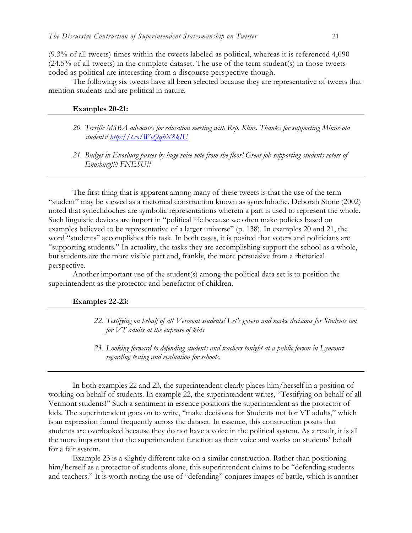(9.3% of all tweets) times within the tweets labeled as political, whereas it is referenced 4,090 (24.5% of all tweets) in the complete dataset. The use of the term student(s) in those tweets coded as political are interesting from a discourse perspective though.

The following six tweets have all been selected because they are representative of tweets that mention students and are political in nature.

#### **Examples 20-21:**

- *20. Terrific MSBA advocates for education meeting with Rep. Kline. Thanks for supporting Minnesota students!<http://t.co/WvQqhX8kIU>*
- *21. Budget in Enosburg passes by huge voice vote from the floor! Great job supporting students voters of Enosburg!!!! FNESU#*

The first thing that is apparent among many of these tweets is that the use of the term "student" may be viewed as a rhetorical construction known as synechdoche. Deborah Stone (2002) noted that synechdoches are symbolic representations wherein a part is used to represent the whole. Such linguistic devices are import in "political life because we often make policies based on examples believed to be representative of a larger universe" (p. 138). In examples 20 and 21, the word "students" accomplishes this task. In both cases, it is posited that voters and politicians are "supporting students." In actuality, the tasks they are accomplishing support the school as a whole, but students are the more visible part and, frankly, the more persuasive from a rhetorical perspective.

Another important use of the student(s) among the political data set is to position the superintendent as the protector and benefactor of children.

#### **Examples 22-23:**

- *22. Testifying on behalf of all Vermont students! Let's govern and make decisions for Students not for VT adults at the expense of kids*
- *23. Looking forward to defending students and teachers tonight at a public forum in Lyncourt regarding testing and evaluation for schools.*

In both examples 22 and 23, the superintendent clearly places him/herself in a position of working on behalf of students. In example 22, the superintendent writes, "Testifying on behalf of all Vermont students!" Such a sentiment in essence positions the superintendent as the protector of kids. The superintendent goes on to write, "make decisions for Students not for VT adults," which is an expression found frequently across the dataset. In essence, this construction posits that students are overlooked because they do not have a voice in the political system. As a result, it is all the more important that the superintendent function as their voice and works on students' behalf for a fair system.

Example 23 is a slightly different take on a similar construction. Rather than positioning him/herself as a protector of students alone, this superintendent claims to be "defending students" and teachers." It is worth noting the use of "defending" conjures images of battle, which is another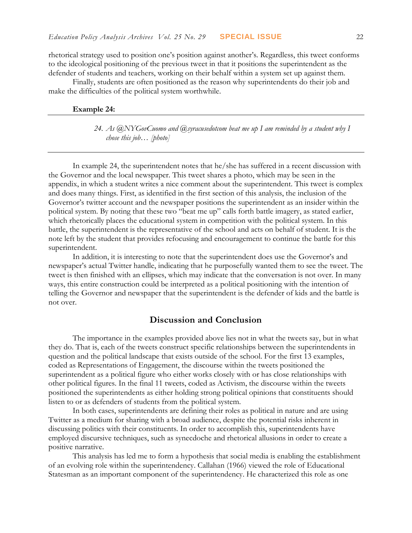rhetorical strategy used to position one's position against another's. Regardless, this tweet conforms to the ideological positioning of the previous tweet in that it positions the superintendent as the defender of students and teachers, working on their behalf within a system set up against them.

Finally, students are often positioned as the reason why superintendents do their job and make the difficulties of the political system worthwhile.

#### **Example 24:**

*24. As @NYGovCuomo and @syracusedotcom beat me up I am reminded by a student why I chose this job… [photo]*

In example 24, the superintendent notes that he/she has suffered in a recent discussion with the Governor and the local newspaper. This tweet shares a photo, which may be seen in the appendix, in which a student writes a nice comment about the superintendent. This tweet is complex and does many things. First, as identified in the first section of this analysis, the inclusion of the Governor's twitter account and the newspaper positions the superintendent as an insider within the political system. By noting that these two "beat me up" calls forth battle imagery, as stated earlier, which rhetorically places the educational system in competition with the political system. In this battle, the superintendent is the representative of the school and acts on behalf of student. It is the note left by the student that provides refocusing and encouragement to continue the battle for this superintendent.

In addition, it is interesting to note that the superintendent does use the Governor's and newspaper's actual Twitter handle, indicating that he purposefully wanted them to see the tweet. The tweet is then finished with an ellipses, which may indicate that the conversation is not over. In many ways, this entire construction could be interpreted as a political positioning with the intention of telling the Governor and newspaper that the superintendent is the defender of kids and the battle is not over.

### **Discussion and Conclusion**

The importance in the examples provided above lies not in what the tweets say, but in what they do. That is, each of the tweets construct specific relationships between the superintendents in question and the political landscape that exists outside of the school. For the first 13 examples, coded as Representations of Engagement, the discourse within the tweets positioned the superintendent as a political figure who either works closely with or has close relationships with other political figures. In the final 11 tweets, coded as Activism, the discourse within the tweets positioned the superintendents as either holding strong political opinions that constituents should listen to or as defenders of students from the political system.

In both cases, superintendents are defining their roles as political in nature and are using Twitter as a medium for sharing with a broad audience, despite the potential risks inherent in discussing politics with their constituents. In order to accomplish this, superintendents have employed discursive techniques, such as synecdoche and rhetorical allusions in order to create a positive narrative.

This analysis has led me to form a hypothesis that social media is enabling the establishment of an evolving role within the superintendency. Callahan (1966) viewed the role of Educational Statesman as an important component of the superintendency. He characterized this role as one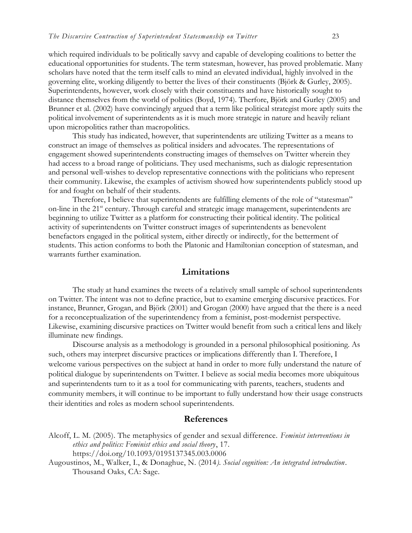which required individuals to be politically savvy and capable of developing coalitions to better the educational opportunities for students. The term statesman, however, has proved problematic. Many scholars have noted that the term itself calls to mind an elevated individual, highly involved in the governing elite, working diligently to better the lives of their constituents (Björk & Gurley, 2005). Superintendents, however, work closely with their constituents and have historically sought to distance themselves from the world of politics (Boyd, 1974). Therfore, Björk and Gurley (2005) and Brunner et al. (2002) have convincingly argued that a term like political strategist more aptly suits the political involvement of superintendents as it is much more strategic in nature and heavily reliant upon micropolitics rather than macropolitics.

This study has indicated, however, that superintendents are utilizing Twitter as a means to construct an image of themselves as political insiders and advocates. The representations of engagement showed superintendents constructing images of themselves on Twitter wherein they had access to a broad range of politicians. They used mechanisms, such as dialogic representation and personal well-wishes to develop representative connections with the politicians who represent their community. Likewise, the examples of activism showed how superintendents publicly stood up for and fought on behalf of their students.

Therefore, I believe that superintendents are fulfilling elements of the role of "statesman" on-line in the 21<sup>st</sup> century. Through careful and strategic image management, superintendents are beginning to utilize Twitter as a platform for constructing their political identity. The political activity of superintendents on Twitter construct images of superintendents as benevolent benefactors engaged in the political system, either directly or indirectly, for the betterment of students. This action conforms to both the Platonic and Hamiltonian conception of statesman, and warrants further examination.

#### **Limitations**

The study at hand examines the tweets of a relatively small sample of school superintendents on Twitter. The intent was not to define practice, but to examine emerging discursive practices. For instance, Brunner, Grogan, and Björk (2001) and Grogan (2000) have argued that the there is a need for a reconceptualization of the superintendency from a feminist, post-modernist perspective. Likewise, examining discursive practices on Twitter would benefit from such a critical lens and likely illuminate new findings.

Discourse analysis as a methodology is grounded in a personal philosophical positioning. As such, others may interpret discursive practices or implications differently than I. Therefore, I welcome various perspectives on the subject at hand in order to more fully understand the nature of political dialogue by superintendents on Twitter. I believe as social media becomes more ubiquitous and superintendents turn to it as a tool for communicating with parents, teachers, students and community members, it will continue to be important to fully understand how their usage constructs their identities and roles as modern school superintendents.

#### **References**

- Alcoff, L. M. (2005). The metaphysics of gender and sexual difference. *Feminist interventions in ethics and politics: Feminist ethics and social theory*, 17. https://doi.org/10.1093/0195137345.003.0006
- Augoustinos, M., Walker, I., & Donaghue, N. (2014*). Social cognition: An integrated introduction*. Thousand Oaks, CA: Sage.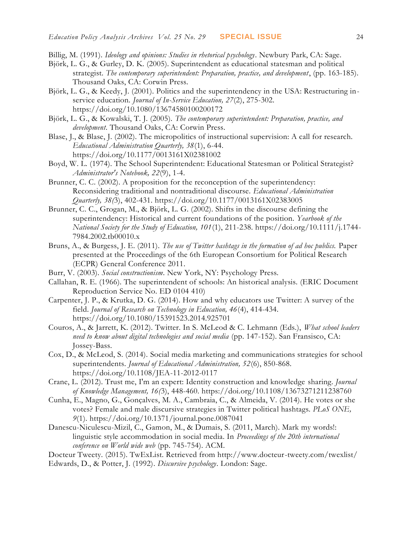- Billig, M. (1991). *Ideology and opinions: Studies in rhetorical psychology*. Newbury Park, CA: Sage.
- Björk, L. G., & Gurley, D. K. (2005). Superintendent as educational statesman and political strategist*. The contemporary superintendent: Preparation, practice, and development*, (pp. 163-185). Thousand Oaks, CA: Corwin Press.
- Björk, L. G., & Keedy, J. (2001). Politics and the superintendency in the USA: Restructuring inservice education. *Journal of In-Service Education, 27*(2), 275-302. https://doi.org/10.1080/13674580100200172
- Björk, L. G., & Kowalski, T. J. (2005). *The contemporary superintendent: Preparation, practice, and development*. Thousand Oaks, CA: Corwin Press.
- Blase, J., & Blase, J. (2002). The micropolitics of instructional supervision: A call for research. *Educational Administration Quarterly, 38*(1), 6-44. https://doi.org/10.1177/0013161X02381002
- Boyd, W. L. (1974). The School Superintendent: Educational Statesman or Political Strategist? *Administrator's Notebook, 22*(9), 1-4.
- Brunner, C. C. (2002). A proposition for the reconception of the superintendency: Reconsidering traditional and nontraditional discourse. *Educational Administration Quarterly, 38(*3), 402-431. https://doi.org/10.1177/0013161X02383005
- Brunner, C. C., Grogan, M., & Björk, L. G. (2002). Shifts in the discourse defining the superintendency: Historical and current foundations of the position. *Yearbook of the National Society for the Study of Education, 101*(1), 211-238. https://doi.org/10.1111/j.1744- 7984.2002.tb00010.x
- Bruns, A., & Burgess, J. E. (2011). *The use of Twitter hashtags in the formation of ad hoc publics.* Paper presented at the Proceedings of the 6th European Consortium for Political Research (ECPR) General Conference 2011.
- Burr, V. (2003). *Social constructionism*. New York, NY: Psychology Press.
- Callahan, R. E. (1966). The superintendent of schools: An historical analysis. (ERIC Document Reproduction Service No. ED 0104 410)
- Carpenter, J. P., & Krutka, D. G. (2014). How and why educators use Twitter: A survey of the field. *Journal of Research on Technology in Education, 46*(4), 414-434. https://doi.org/10.1080/15391523.2014.925701
- Couros, A., & Jarrett, K. (2012). Twitter. In S. McLeod & C. Lehmann (Eds.), *What school leaders need to know about digital technologies and social media* (pp. 147-152). San Fransisco, CA: Jossey-Bass.
- Cox, D., & McLeod, S. (2014). Social media marketing and communications strategies for school superintendents*. Journal of Educational Administration, 52*(6), 850-868. https://doi.org/10.1108/JEA-11-2012-0117
- Crane, L. (2012). Trust me, I'm an expert: Identity construction and knowledge sharing. *Journal of Knowledge Management, 16(*3), 448-460. https://doi.org/10.1108/13673271211238760
- Cunha, E., Magno, G., Gonçalves, M. A., Cambraia, C., & Almeida, V. (2014). He votes or she votes? Female and male discursive strategies in Twitter political hashtags. *PLoS ONE, 9*(1). https://doi.org/10.1371/journal.pone.0087041
- Danescu-Niculescu-Mizil, C., Gamon, M., & Dumais, S. (2011, March). Mark my words!: linguistic style accommodation in social media. In *Proceedings of the 20th international conference on World wide web* (pp. 745-754). ACM.
- Docteur Tweety. (2015). TwExList. Retrieved from http://www.docteur-tweety.com/twexlist/
- Edwards, D., & Potter, J. (1992). *Discursive psychology*. London: Sage.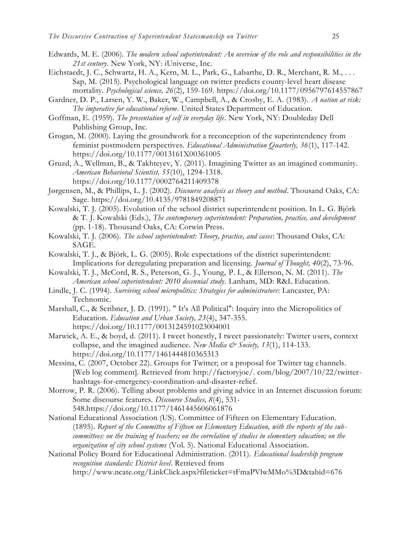- Edwards, M. E. (2006). *The modern school superintendent: An overview of the role and responsibilities in the 21st century*. New York, NY: iUniverse, Inc.
- Eichstaedt, J. C., Schwartz, H. A., Kern, M. L., Park, G., Labarthe, D. R., Merchant, R. M., . . . Sap, M. (2015). Psychological language on twitter predicts county-level heart disease mortality. *Psychological science, 26*(2), 159-169. https://doi.org/10.1177/0956797614557867
- Gardner, D. P., Larsen, Y. W., Baker, W., Campbell, A., & Crosby, E. A. (1983). *A nation at risk: The imperative for educational reform*. United States Department of Education.
- Goffman, E. (1959). *The presentation of self in everyday life*. New York, NY: Doubleday Dell Publishing Group, Inc.
- Grogan, M. (2000). Laying the groundwork for a reconception of the superintendency from feminist postmodern perspectives. *Educational Administration Quarterly, 36*(1), 117-142. https://doi.org/10.1177/0013161X00361005
- Gruzd, A., Wellman, B., & Takhteyev, Y. (2011). Imagining Twitter as an imagined community. *American Behavioral Scientist, 55*(10), 1294-1318. https://doi.org/10.1177/0002764211409378
- Jørgensen, M., & Phillips, L. J. (2002). *Discourse analysis as theory and method*. Thousand Oaks, CA: Sage. https://doi.org/10.4135/9781849208871
- Kowalski, T. J. (2005). Evolution of the school district superintendent position. In L. G. Björk & T. J. Kowalski (Eds.), *The contemporary superintendent: Preparation, practice, and development* (pp. 1-18). Thousand Oaks, CA: Corwin Press.
- Kowalski, T. J. (2006). *The school superintendent: Theory, practice, and cases*: Thousand Oaks, CA: SAGE.
- Kowalski, T. J., & Björk, L. G. (2005). Role expectations of the district superintendent: Implications for deregulating preparation and licensing. *Journal of Thought, 40*(2), 73-96.
- Kowalski, T. J., McCord, R. S., Peterson, G. J., Young, P. I., & Ellerson, N. M. (2011). *The American school superintendent: 2010 decennial study.* Lanham, MD: R&L Education.
- Lindle, J. C. (1994). *Surviving school micropolitics: Strategies for administrators*: Lancaster, PA: Technomic.
- Marshall, C., & Scribner, J. D. (1991). " It's All Political": Inquiry into the Micropolitics of Education. *Education and Urban Society, 23*(4), 347-355. https://doi.org/10.1177/0013124591023004001
- Marwick, A. E., & boyd, d. (2011). I tweet honestly, I tweet passionately: Twitter users, context collapse, and the imagined audience. *New Media & Society, 13*(1), 114-133. https://doi.org/10.1177/1461444810365313
- Messina, C. (2007, October 22). Groups for Twitter; or a proposal for Twitter tag channels. [Web log comment]. Retrieved from http://factoryjoe/. com/blog/2007/10/22/twitterhashtags-for-emergency-coordination-and-disaster-relief.
- Morrow, P. R. (2006). Telling about problems and giving advice in an Internet discussion forum: Some discourse features. *Discourse Studies, 8*(4), 531- 548.https://doi.org/10.1177/1461445606061876
- National Educational Association (US). Committee of Fifteen on Elementary Education. (1895). *Report of the Committee of Fifteen on Elementary Education, with the reports of the sub committees: on the training of teachers; on the correlation of studies in elementary education; on the organization of city school systems* (Vol. 5). National Educational Association.
- National Policy Board for Educational Administration. (2011). *Educational leadership program recognition standards: District level*. Retrieved from

http://www.ncate.org/LinkClick.aspx?fileticket=tFmaPVlwMMo%3D&tabid=676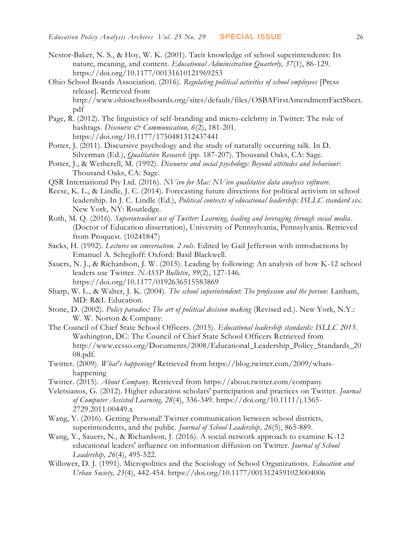- Nestor-Baker, N. S., & Hoy, W. K. (2001). Tacit knowledge of school superintendents: Its nature, meaning, and content. *Educational Administration Quarterly, 37*(1), 86-129. https://doi.org/10.1177/00131610121969253
- Ohio School Boards Association. (2016). *Regulating political activities of school employees* [Press release]. Retrieved from http://www.ohioschoolboards.org/sites/default/files/OSBAFirstAmendmentFactSheet. pdf
- Page, R. (2012). The linguistics of self-branding and micro-celebrity in Twitter: The role of hashtags. *Discourse* & Communication, 6(2), 181-201. https://doi.org/10.1177/1750481312437441
- Potter, J. (2011). Discursive psychology and the study of naturally occurring talk. In D. Silverman (Ed.), *Qualitative Research* (pp. 187-207). Thousand Oaks, CA: Sage.
- Potter, J., & Wetherell, M. (1992). *Discourse and social psychology: Beyond attitudes and behaviour*: Thousand Oaks, CA: Sage.
- QSR International Pty Ltd. (2016). *NVivo for Mac: NVivo qualitative data analysis software*.
- Reese, K. L., & Lindle, J. C. (2014). Forecasting future directions for political activism in school leadership. In J. C. Lindle (Ed.), *Political contexts of educational leadership: ISLLC standard six*. New York, NY: Routledge.
- Roth, M. Q. (2016). *Superintendent use of Twitter: Learning, leading and leveraging through social media* . (Doctor of Education dissertation), University of Pennsylvania, Pennsylvania. Retrieved from Proquest. (10241847)
- Sacks, H. (1992). *Lectures on conversation. 2 vols*. Edited by Gail Jefferson with introductions by Emanuel A. Schegloff: Oxford: Basil Blackwell.
- Sauers, N. J., & Richardson, J. W. (2015). Leading by following: An analysis of how K-12 school leaders use Twitter. *NASSP Bulletin*, *99*(2), 127-146. https://doi.org/10.1177/0192636515583869
- Sharp, W. L., & Walter, J. K. (2004). *The school superintendent: The profession and the person*: Lanham, MD: R&L Education.
- Stone, D. (2002). *Policy paradox: The art of political decision making* (Revised ed.). New York, N.Y.: W. W. Norton & Company.
- The Council of Chief State School Officers. (2015). *Educational leadership standards: ISLLC 2015*. Washington, DC: The Council of Chief State School Officers Retrieved from http://www.ccsso.org/Documents/2008/Educational\_Leadership\_Policy\_Standards\_20 08.pdf.
- Twitter. (2009). *What's happening?* Retrieved from https://blog.twitter.com/2009/whatshappening
- Twitter. (2015). *About Company*. Retrieved from https://about.twitter.com/company
- Veletsianos, G. (2012). Higher education scholars' participation and practices on Twitter. *Journal of Computer Assisted Learning, 28*(4), 336-349. https://doi.org/10.1111/j.1365- 2729.2011.00449.x
- Wang, Y. (2016). Getting Personal! Twitter communication between school districts, superintendents, and the public. *Journal of School Leadership, 26*(5), 865-889.
- Wang, Y., Sauers, N., & Richardson, J. (2016). A social network approach to examine K-12 educational leaders' influence on information diffusion on Twitter. *Journal of School Leadership, 26*(4), 495-522.
- Willower, D. J. (1991). Micropolitics and the Sociology of School Organizations. *Education and Urban Society, 23*(4), 442-454. https://doi.org/10.1177/0013124591023004006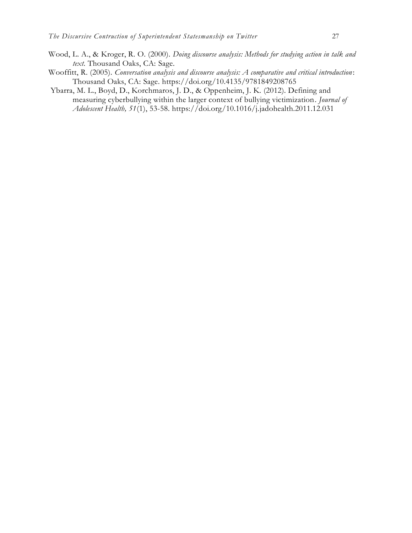- Wood, L. A., & Kroger, R. O. (2000). *Doing discourse analysis: Methods for studying action in talk and text*. Thousand Oaks, CA: Sage.
- Wooffitt, R. (2005). *Conversation analysis and discourse analysis: A comparative and critical introduction* : Thousand Oaks, CA: Sage. https://doi.org/10.4135/9781849208765
- Ybarra, M. L., Boyd, D., Korchmaros, J. D., & Oppenheim, J. K. (2012). Defining and measuring cyberbullying within the larger context of bullying victimization*. Journal of Adolescent Health, 51*(1), 53-58. https://doi.org/10.1016/j.jadohealth.2011.12.031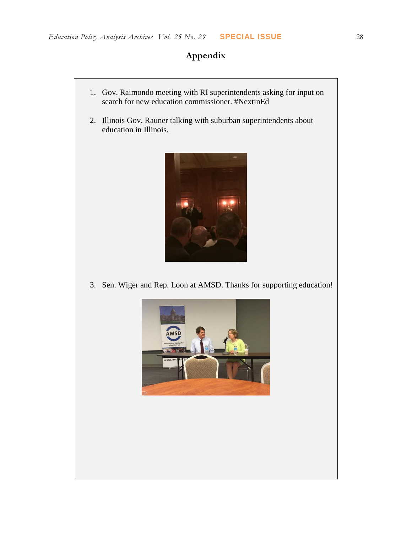## **Appendix**

- 1. Gov. Raimondo meeting with RI superintendents asking for input on search for new education commissioner. #NextinEd 2. Illinois Gov. Rauner talking with suburban superintendents about education in Illinois. 3. Sen. Wiger and Rep. Loon at AMSD. Thanks for supporting education!
	-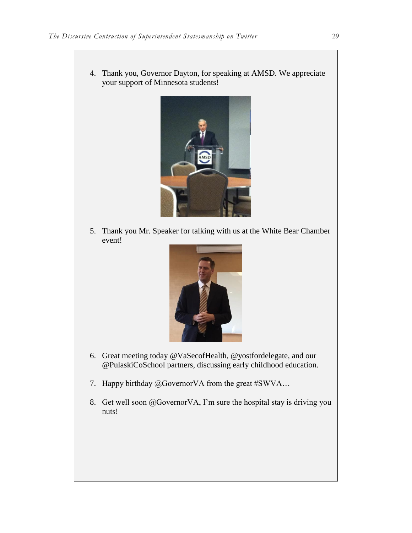4. Thank you, Governor Dayton, for speaking at AMSD. We appreciate your support of Minnesota students!



5. Thank you Mr. Speaker for talking with us at the White Bear Chamber event!



- 6. Great meeting today @VaSecofHealth, @yostfordelegate, and our @PulaskiCoSchool partners, discussing early childhood education.
- 7. Happy birthday @GovernorVA from the great #SWVA…
- 8. Get well soon @GovernorVA, I'm sure the hospital stay is driving you nuts!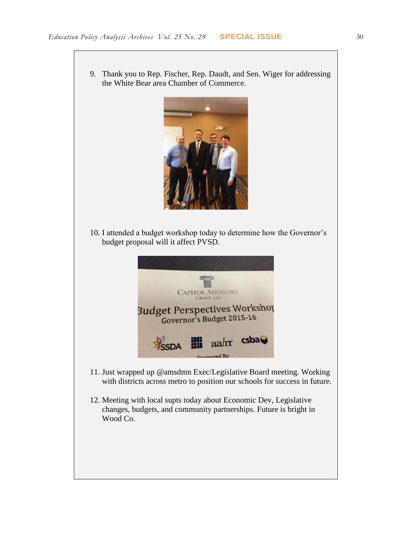



10. I attended a budget workshop today to determine how the Governor's budget proposal will it affect PVSD.



- 11. Just wrapped up @amsdmn Exec/Legislative Board meeting. Working with districts across metro to position our schools for success in future.
- 12. Meeting with local supts today about Economic Dev, Legislative changes, budgets, and community partnerships. Future is bright in Wood Co.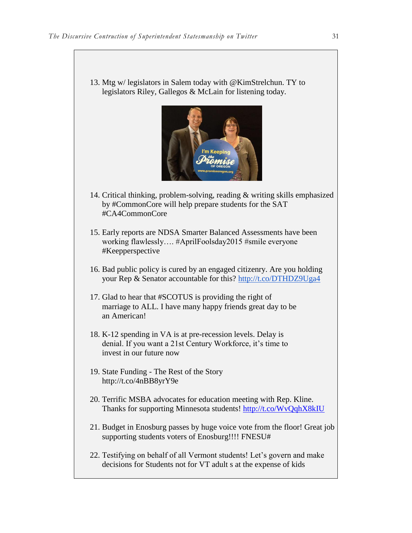13. Mtg w/ legislators in Salem today with @KimStrelchun. TY to legislators Riley, Gallegos & McLain for listening today.



- 14. Critical thinking, problem-solving, reading & writing skills emphasized by #CommonCore will help prepare students for the SAT #CA4CommonCore
- 15. Early reports are NDSA Smarter Balanced Assessments have been working flawlessly…. #AprilFoolsday2015 #smile everyone #Keepperspective
- 16. Bad public policy is cured by an engaged citizenry. Are you holding your Rep & Senator accountable for this?<http://t.co/DTHDZ9Uga4>
- 17. Glad to hear that #SCOTUS is providing the right of marriage to ALL. I have many happy friends great day to be an American!
- 18. K-12 spending in VA is at pre-recession levels. Delay is denial. If you want a 21st Century Workforce, it's time to invest in our future now
- 19. State Funding The Rest of the Story http://t.co/4nBB8yrY9e
- 20. Terrific MSBA advocates for education meeting with Rep. Kline. Thanks for supporting Minnesota students! <http://t.co/WvQqhX8kIU>
- 21. Budget in Enosburg passes by huge voice vote from the floor! Great job supporting students voters of Enosburg!!!! FNESU#
- 22. Testifying on behalf of all Vermont students! Let's govern and make decisions for Students not for VT adult s at the expense of kids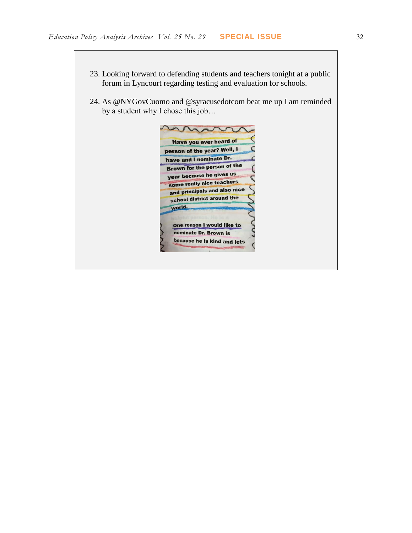- 23. Looking forward to defending students and teachers tonight at a public forum in Lyncourt regarding testing and evaluation for schools.
- 24. As @NYGovCuomo and @syracusedotcom beat me up I am reminded by a student why I chose this job…

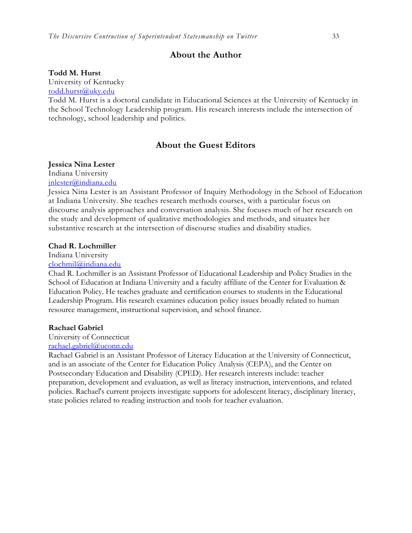### **About the Author**

#### **Todd M. Hurst**

University of Kentucky

[todd.hurst@uky.edu](mailto:todd.hurst@uky.edu)

Todd M. Hurst is a doctoral candidate in Educational Sciences at the University of Kentucky in the School Technology Leadership program. His research interests include the intersection of technology, school leadership and politics.

### **About the Guest Editors**

#### **Jessica Nina Lester**

Indiana University

[jnlester@indiana.edu](mailto:clochmil@indiana.edu)

Jessica Nina Lester is an Assistant Professor of Inquiry Methodology in the School of Education at Indiana University. She teaches research methods courses, with a particular focus on discourse analysis approaches and conversation analysis. She focuses much of her research on the study and development of qualitative methodologies and methods, and situates her substantive research at the intersection of discourse studies and disability studies.

#### **Chad R. Lochmiller**

Indiana University

[clochmil@indiana.edu](mailto:clochmil@indiana.edu)

Chad R. Lochmiller is an Assistant Professor of Educational Leadership and Policy Studies in the School of Education at Indiana University and a faculty affiliate of the Center for Evaluation & Education Policy. He teaches graduate and certification courses to students in the Educational Leadership Program. His research examines education policy issues broadly related to human resource management, instructional supervision, and school finance.

#### **Rachael Gabriel**

University of Connecticut

#### [rachael.gabriel@uconn.edu](mailto:rachael.gabriel@uconn.edu)

Rachael Gabriel is an Assistant Professor of Literacy Education at the University of Connecticut, and is an associate of the Center for Education Policy Analysis (CEPA), and the Center on Postsecondary Education and Disability (CPED). Her research interests include: teacher preparation, development and evaluation, as well as literacy instruction, interventions, and related policies. Rachael's current projects investigate supports for adolescent literacy, disciplinary literacy, state policies related to reading instruction and tools for teacher evaluation.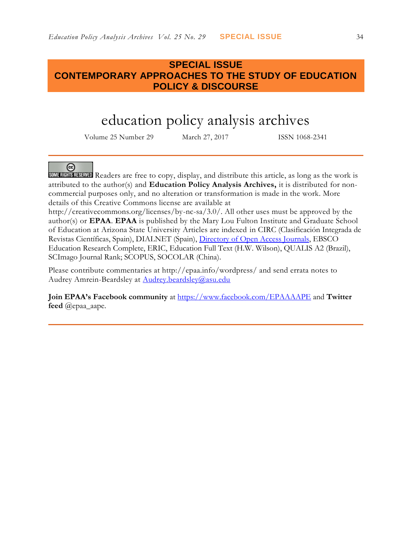### **SPECIAL ISSUE CONTEMPORARY APPROACHES TO THE STUDY OF EDUCATION POLICY & DISCOURSE**

# education policy analysis archives

Volume 25 Number 29 March 27, 2017 ISSN 1068-2341

### @

SOME RIGHTS RESERVED Readers are free to copy, display, and distribute this article, as long as the work is attributed to the author(s) and **Education Policy Analysis Archives,** it is distributed for noncommercial purposes only, and no alteration or transformation is made in the work. More details of this Creative Commons license are available at

http://creativecommons.org/licenses/by-nc-sa/3.0/. All other uses must be approved by the author(s) or **EPAA**. **EPAA** is published by the Mary Lou Fulton Institute and Graduate School of Education at Arizona State University Articles are indexed in CIRC (Clasificación Integrada de Revistas Científicas, Spain), DIALNET (Spain), [Directory of Open Access Journals,](http://www.doaj.org/) EBSCO Education Research Complete, ERIC, Education Full Text (H.W. Wilson), QUALIS A2 (Brazil), SCImago Journal Rank; SCOPUS, SOCOLAR (China).

Please contribute commentaries at http://epaa.info/wordpress/ and send errata notes to Audrey Amrein-Beardsley at [Audrey.beardsley@asu.edu](mailto:Audrey.beardsley@asu.edu)

**Join EPAA's Facebook community** at<https://www.facebook.com/EPAAAAPE> and **Twitter feed** @epaa\_aape.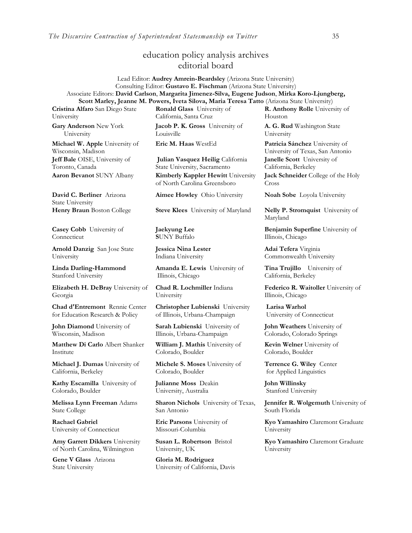### education policy analysis archives editorial board

Lead Editor: **Audrey Amrein-Beardsley** (Arizona State University) Consulting Editor: **Gustavo E. Fischman** (Arizona State University) Associate Editors: **David Carlson**, **Margarita Jimenez-Silva, Eugene Judson**, **Mirka Koro-Ljungberg, Scott Marley, Jeanne M. Powers, Iveta Silova, Maria Teresa Tatto** (Arizona State University)

**Cristina Alfaro** San Diego State University

**Gary Anderson** New York University

**Michael W. Apple** University of Wisconsin, Madison **Jeff Bale** OISE, University of Toronto, Canada

**David C. Berliner** Arizona State University

**Casey Cobb** University of **Connecticut** 

**Arnold Danzig** San Jose State University

**Linda Darling-Hammond**  Stanford University

**Elizabeth H. DeBray** University of Georgia

**Chad d'Entremont** Rennie Center for Education Research & Policy

**John Diamond** University of Wisconsin, Madison

**Matthew Di Carlo** Albert Shanker Institute

**Michael J. Dumas** University of California, Berkeley

**Kathy Escamilla** University of Colorado, Boulder

**Melissa Lynn Freeman** Adams State College

**Rachael Gabriel** University of Connecticut

**Amy Garrett Dikkers** University of North Carolina, Wilmington

**Gene V Glass** Arizona State University

**Ronald Glass** University of California, Santa Cruz

**Jacob P. K. Gross** University of Louisville

**Julian Vasquez Heilig** California State University, Sacramento **Aaron Bevanot** SUNY Albany **Kimberly Kappler Hewitt** University of North Carolina Greensboro

**Aimee Howley** Ohio University **Noah Sobe** Loyola University

**Henry Braun** Boston College **Steve Klees** University of Maryland **Nelly P. Stromquist** University of

**Jaekyung Lee S**UNY Buffalo

**Jessica Nina Lester** Indiana University

**Amanda E. Lewis** University of Illinois, Chicago

**Chad R. Lochmiller** Indiana University

**Christopher Lubienski** University of Illinois, Urbana-Champaign

**Sarah Lubienski** University of Illinois, Urbana-Champaign

**William J. Mathis** University of Colorado, Boulder

**Michele S. Moses** University of Colorado, Boulder

**Julianne Moss** Deakin University, Australia

**Sharon Nichols** University of Texas, San Antonio

**Eric Parsons** University of Missouri-Columbia

**Susan L. Robertson** Bristol University, UK

**Gloria M. Rodriguez** University of California, Davis

**R. Anthony Rolle** University of Houston

**A. G. Rud** Washington State University

**Eric M. Haas** WestEd **Patricia Sánchez** University of University of Texas, San Antonio **Janelle Scott** University of California, Berkeley

**Jack Schneider** College of the Holy Cross

Maryland

**Benjamin Superfine** University of Illinois, Chicago

**Adai Tefera** Virginia Commonwealth University

**Tina Trujillo** University of California, Berkeley

**Federico R. Waitoller** University of Illinois, Chicago

**Larisa Warhol** University of Connecticut

**John Weathers** University of Colorado, Colorado Springs

**Kevin Welner** University of Colorado, Boulder

**Terrence G. Wiley** Center for Applied Linguistics

**John Willinsky**  Stanford University

**Jennifer R. Wolgemuth** University of South Florida

**Kyo Yamashiro** Claremont Graduate University

**Kyo Yamashiro** Claremont Graduate University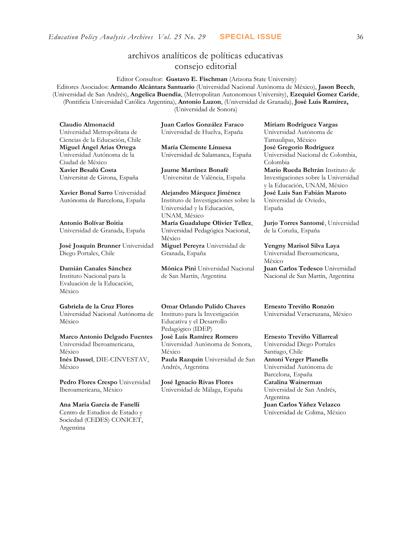### archivos analíticos de políticas educativas consejo editorial

Editor Consultor: **Gustavo E. Fischman** (Arizona State University) Editores Asociados: **Armando Alcántara Santuario** (Universidad Nacional Autónoma de México), **Jason Beech**, (Universidad de San Andrés), **Angelica Buendia**, (Metropolitan Autonomous University), **Ezequiel Gomez Caride**, (Pontificia Universidad Católica Argentina), **Antonio Luzon**, (Universidad de Granada), **José Luis Ramírez,** (Universidad de Sonora)

**Claudio Almonacid** Universidad Metropolitana de Ciencias de la Educación, Chile **Miguel Ángel Arias Ortega**  Universidad Autónoma de la Ciudad de México **Xavier Besalú Costa**  Universitat de Girona, España

**[Xavier Bonal](javascript:openRTWindow() Sarro** Universidad Autónoma de Barcelona, España

**[Antonio Bolívar](javascript:openRTWindow() Boitia** Universidad de Granada, España

**[José Joaquín Brunner](javascript:openRTWindow()** Universidad Diego Portales, Chile

#### **[Damián Canales Sánchez](javascript:openRTWindow()** Instituto Nacional para la Evaluación de la Educación,

México

**Gabriela de la Cruz Flores** Universidad Nacional Autónoma de

México

#### **[Marco Antonio Delgado Fuentes](javascript:openRTWindow()** Universidad Iberoamericana, México **[Inés Dussel](javascript:openRTWindow()**, DIE-CINVESTAV, México

**[Pedro Flores Crespo](javascript:openRTWindow()** Universidad Iberoamericana, México

#### **Ana María García de Fanelli**  Centro de Estudios de Estado y Sociedad (CEDES) CONICET, Argentina

**Juan Carlos González Faraco**  Universidad de Huelva, España

**María Clemente Linuesa**  Universidad de Salamanca, España

**Jaume Martínez Bonafé** Universitat de València, España

**Alejandro Márquez Jiménez**  Instituto de Investigaciones sobre la Universidad y la Educación, UNAM, México **María Guadalupe Olivier Tellez**, Universidad Pedagógica Nacional, México **[Miguel Pereyra](javascript:openRTWindow()** Universidad de Granada, España

**[Mónica Pini](javascript:openRTWindow()** Universidad Nacional de San Martín, Argentina

**Omar Orlando Pulido Chaves** Instituto para la Investigación Educativa y el Desarrollo Pedagógico (IDEP)

**[José Luis Ramírez](javascript:openRTWindow() Romero** Universidad Autónoma de Sonora, México

**[Paula Razquin](javascript:openRTWindow()** Universidad de San Andrés, Argentina

**José Ignacio Rivas Flores** Universidad de Málaga, España **[Miriam Rodríguez Vargas](javascript:openRTWindow()** Universidad Autónoma de Tamaulipas, México **José Gregorio Rodríguez**  Universidad Nacional de Colombia, Colombia **[Mario Rueda Beltrán](javascript:openRTWindow()** Instituto de Investigaciones sobre la Universidad

y la Educación, UNAM, México **José Luis San Fabián Maroto**  Universidad de Oviedo, España

**[Jurjo Torres Santomé](javascript:openRTWindow()**, Universidad de la Coruña, España

**[Yengny Marisol Silva Laya](javascript:openRTWindow()** Universidad Iberoamericana, México **Juan Carlos Tedesco** Universidad Nacional de San Martín, Argentina

**Ernesto Treviño Ronzón** Universidad Veracruzana, México

**[Ernesto Treviño](javascript:openRTWindow() Villarreal** Universidad Diego Portales Santiago, Chile **[Antoni Verger Planells](javascript:openRTWindow()** Universidad Autónoma de Barcelona, España **[Catalina Wainerman](javascript:openRTWindow()** Universidad de San Andrés, Argentina **Juan Carlos Yáñez Velazco** Universidad de Colima, México